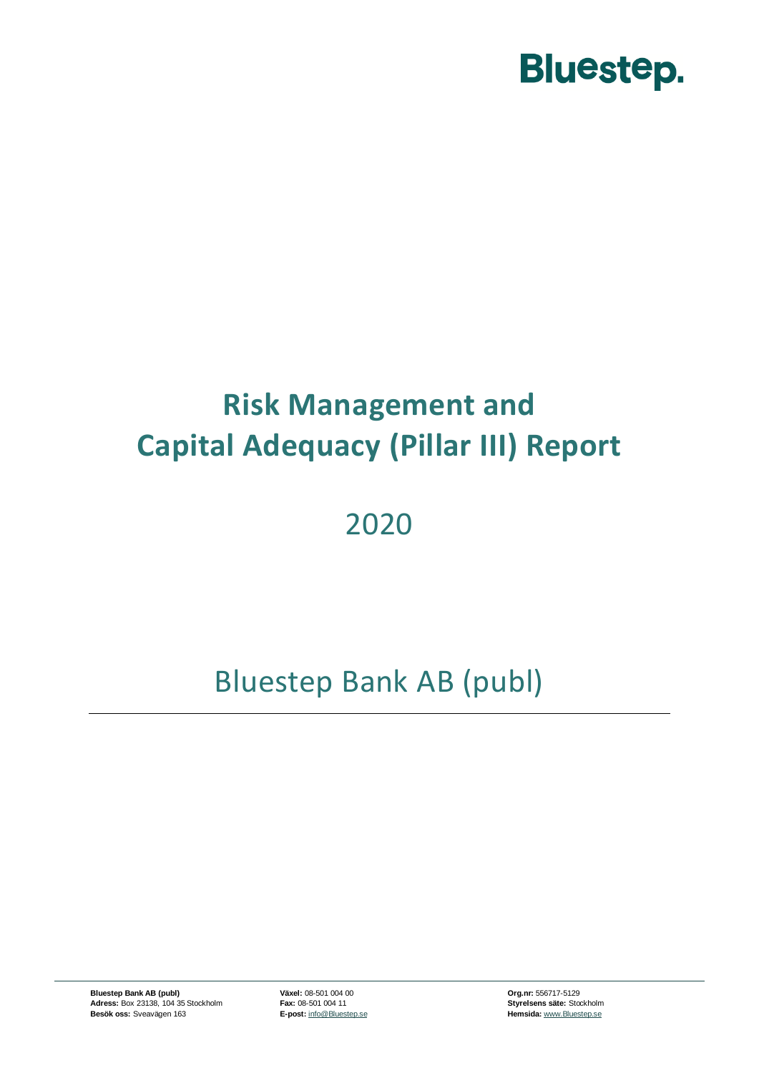

### **Risk Management and Capital Adequacy (Pillar III) Report**

### 2020

### Bluestep Bank AB (publ)

**Bluestep Bank AB (publ) Växel:** 08-501 004 00 **Org.nr:** 556717-5129 **Adress:** Box 23138, 104 35 Stockholm **Fax:** 08-501 004 11 **Styrelsens säte:** Stockholm **Besök oss:** Sveavägen 163 **E-post:** [info@Bluestep.se](mailto:info@bluestep.se) **Besök oss:** Sveavägen 163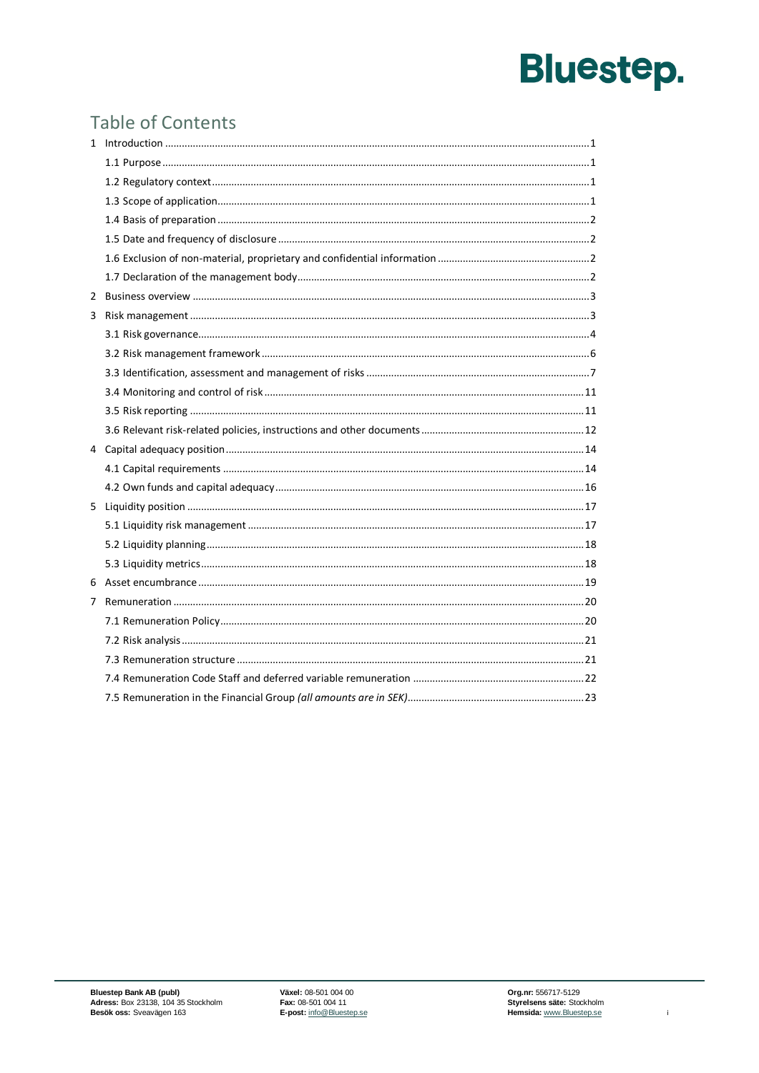### **Table of Contents**

| 2 |  |
|---|--|
| 3 |  |
|   |  |
|   |  |
|   |  |
|   |  |
|   |  |
|   |  |
|   |  |
|   |  |
|   |  |
| 5 |  |
|   |  |
|   |  |
|   |  |
|   |  |
| 7 |  |
|   |  |
|   |  |
|   |  |
|   |  |
|   |  |

 $\mathbf{i}$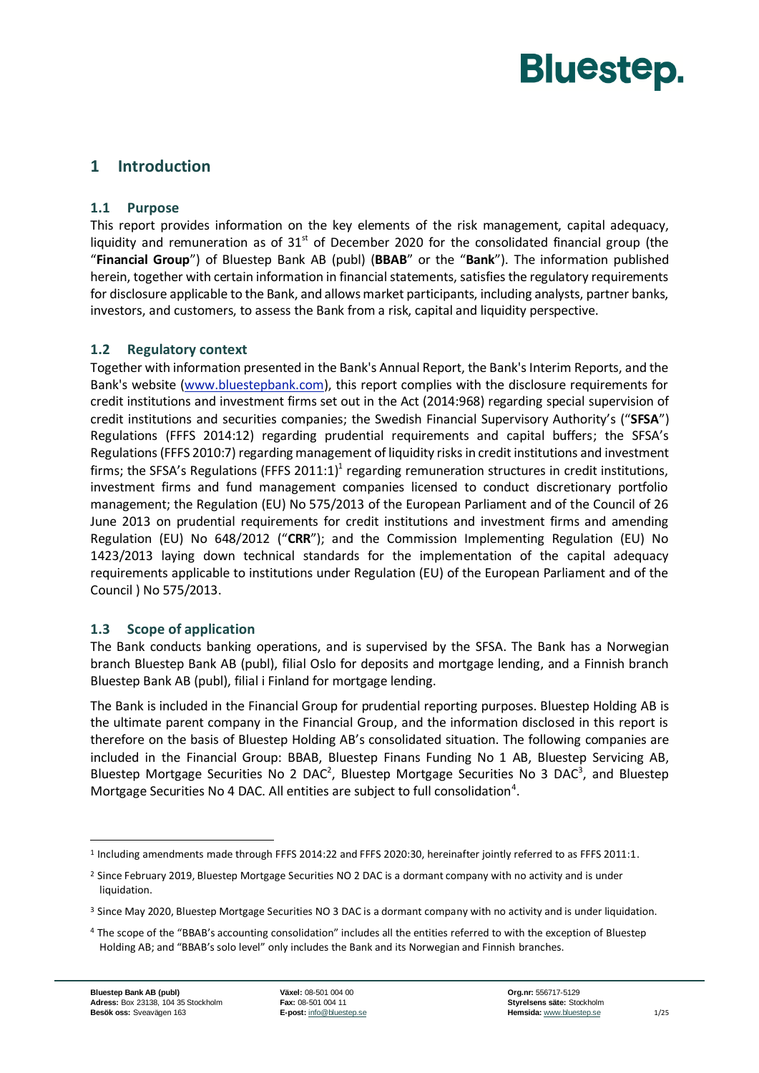#### <span id="page-2-1"></span><span id="page-2-0"></span>**1 Introduction**

#### **1.1 Purpose**

This report provides information on the key elements of the risk management, capital adequacy, liquidity and remuneration as of  $31<sup>st</sup>$  of December 2020 for the consolidated financial group (the "**Financial Group**") of Bluestep Bank AB (publ) (**BBAB**" or the "**Bank**"). The information published herein, together with certain information in financial statements, satisfies the regulatory requirements for disclosure applicable to the Bank, and allows market participants, including analysts, partner banks, investors, and customers, to assess the Bank from a risk, capital and liquidity perspective.

#### <span id="page-2-2"></span>**1.2 Regulatory context**

Together with information presented in the Bank's Annual Report, the Bank's Interim Reports, and the Bank's website [\(www.bluestepbank.com\)](http://www.bluestepbank.com/), this report complies with the disclosure requirements for credit institutions and investment firms set out in the Act (2014:968) regarding special supervision of credit institutions and securities companies; the Swedish Financial Supervisory Authority's ("**SFSA**") Regulations (FFFS 2014:12) regarding prudential requirements and capital buffers; the SFSA's Regulations (FFFS 2010:7) regarding management of liquidity risks in credit institutions and investment firms; the SFSA's Regulations (FFFS 2011:1)<sup>1</sup> regarding remuneration structures in credit institutions, investment firms and fund management companies licensed to conduct discretionary portfolio management; the Regulation (EU) No 575/2013 of the European Parliament and of the Council of 26 June 2013 on prudential requirements for credit institutions and investment firms and amending Regulation (EU) No 648/2012 ("**CRR**"); and the Commission Implementing Regulation (EU) No 1423/2013 laying down technical standards for the implementation of the capital adequacy requirements applicable to institutions under Regulation (EU) of the European Parliament and of the Council ) No 575/2013.

#### <span id="page-2-3"></span>**1.3 Scope of application**

The Bank conducts banking operations, and is supervised by the SFSA. The Bank has a Norwegian branch Bluestep Bank AB (publ), filial Oslo for deposits and mortgage lending, and a Finnish branch Bluestep Bank AB (publ), filial i Finland for mortgage lending.

The Bank is included in the Financial Group for prudential reporting purposes. Bluestep Holding AB is the ultimate parent company in the Financial Group, and the information disclosed in this report is therefore on the basis of Bluestep Holding AB's consolidated situation. The following companies are included in the Financial Group: BBAB, Bluestep Finans Funding No 1 AB, Bluestep Servicing AB, Bluestep Mortgage Securities No 2 DAC<sup>2</sup>, Bluestep Mortgage Securities No 3 DAC<sup>3</sup>, and Bluestep Mortgage Securities No 4 DAC. All entities are subject to full consolidation<sup>4</sup>.

<sup>1</sup> Including amendments made through FFFS 2014:22 and FFFS 2020:30, hereinafter jointly referred to as FFFS 2011:1.

<sup>&</sup>lt;sup>2</sup> Since February 2019, Bluestep Mortgage Securities NO 2 DAC is a dormant company with no activity and is under liquidation.

<sup>&</sup>lt;sup>3</sup> Since May 2020, Bluestep Mortgage Securities NO 3 DAC is a dormant company with no activity and is under liquidation.

<sup>4</sup> The scope of the "BBAB's accounting consolidation" includes all the entities referred to with the exception of Bluestep Holding AB; and "BBAB's solo level" only includes the Bank and its Norwegian and Finnish branches.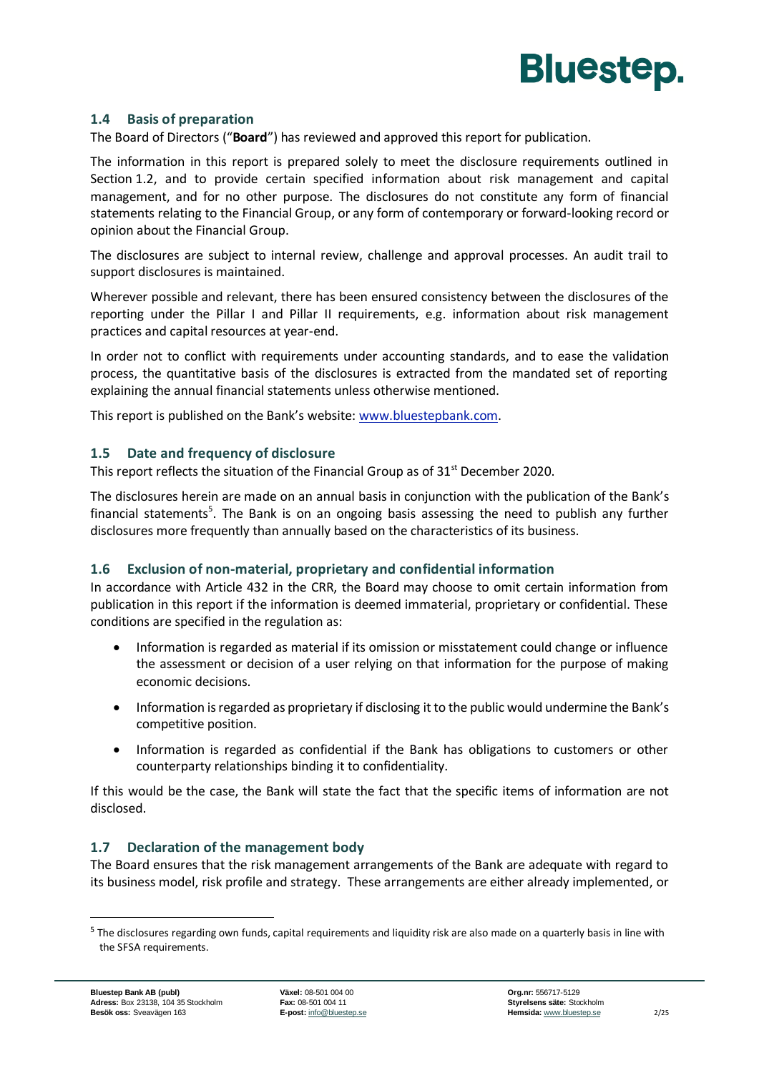

#### <span id="page-3-0"></span>**1.4 Basis of preparation**

The Board of Directors ("**Board**") has reviewed and approved this report for publication.

The information in this report is prepared solely to meet the disclosure requirements outlined in Section 1.2, and to provide certain specified information about risk management and capital management, and for no other purpose. The disclosures do not constitute any form of financial statements relating to the Financial Group, or any form of contemporary or forward-looking record or opinion about the Financial Group.

The disclosures are subject to internal review, challenge and approval processes. An audit trail to support disclosures is maintained.

Wherever possible and relevant, there has been ensured consistency between the disclosures of the reporting under the Pillar I and Pillar II requirements, e.g. information about risk management practices and capital resources at year-end.

In order not to conflict with requirements under accounting standards, and to ease the validation process, the quantitative basis of the disclosures is extracted from the mandated set of reporting explaining the annual financial statements unless otherwise mentioned.

This report is published on the Bank's website: [www.bluestepbank.com.](http://www.bluestepbank.com/)

#### <span id="page-3-1"></span>**1.5 Date and frequency of disclosure**

This report reflects the situation of the Financial Group as of 31<sup>st</sup> December 2020.

The disclosures herein are made on an annual basis in conjunction with the publication of the Bank's financial statements<sup>5</sup>. The Bank is on an ongoing basis assessing the need to publish any further disclosures more frequently than annually based on the characteristics of its business.

#### <span id="page-3-2"></span>**1.6 Exclusion of non-material, proprietary and confidential information**

In accordance with Article 432 in the CRR, the Board may choose to omit certain information from publication in this report if the information is deemed immaterial, proprietary or confidential. These conditions are specified in the regulation as:

- Information is regarded as material if its omission or misstatement could change or influence the assessment or decision of a user relying on that information for the purpose of making economic decisions.
- Information is regarded as proprietary if disclosing it to the public would undermine the Bank's competitive position.
- Information is regarded as confidential if the Bank has obligations to customers or other counterparty relationships binding it to confidentiality.

If this would be the case, the Bank will state the fact that the specific items of information are not disclosed.

#### <span id="page-3-3"></span>**1.7 Declaration of the management body**

The Board ensures that the risk management arrangements of the Bank are adequate with regard to its business model, risk profile and strategy. These arrangements are either already implemented, or

<sup>&</sup>lt;sup>5</sup> The disclosures regarding own funds, capital requirements and liquidity risk are also made on a quarterly basis in line with the SFSA requirements.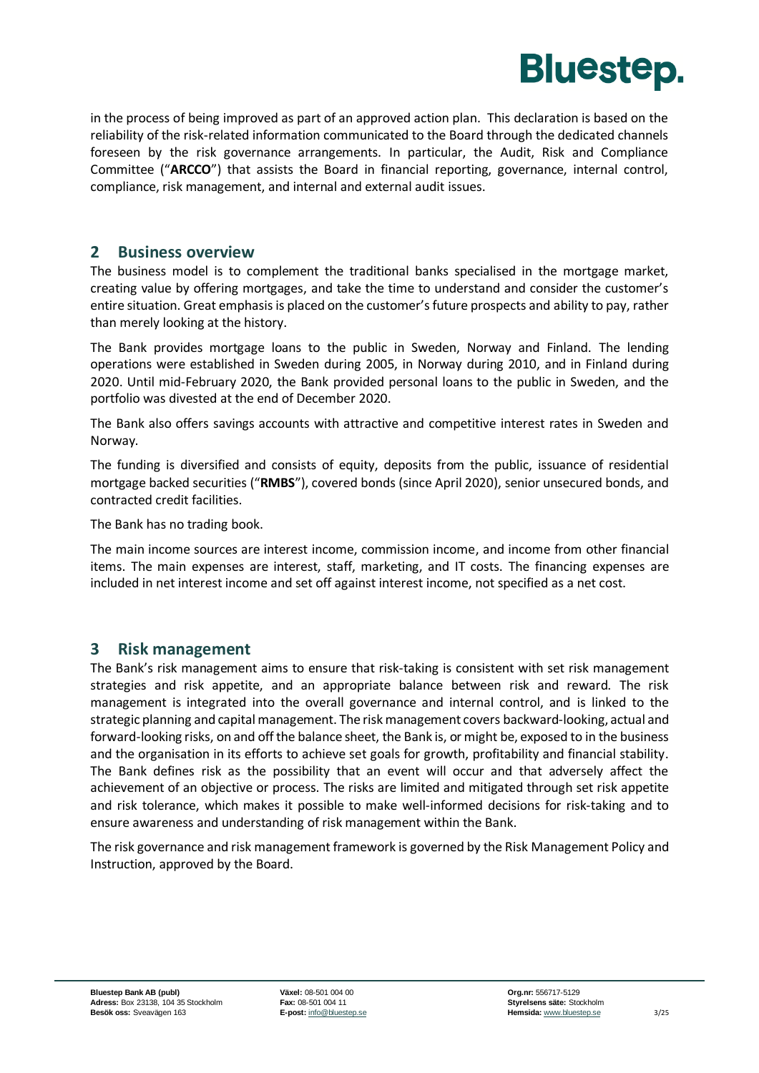

in the process of being improved as part of an approved action plan. This declaration is based on the reliability of the risk-related information communicated to the Board through the dedicated channels foreseen by the risk governance arrangements. In particular, the Audit, Risk and Compliance Committee ("**ARCCO**") that assists the Board in financial reporting, governance, internal control, compliance, risk management, and internal and external audit issues.

#### <span id="page-4-0"></span>**2 Business overview**

The business model is to complement the traditional banks specialised in the mortgage market, creating value by offering mortgages, and take the time to understand and consider the customer's entire situation. Great emphasis is placed on the customer's future prospects and ability to pay, rather than merely looking at the history.

The Bank provides mortgage loans to the public in Sweden, Norway and Finland. The lending operations were established in Sweden during 2005, in Norway during 2010, and in Finland during 2020. Until mid-February 2020, the Bank provided personal loans to the public in Sweden, and the portfolio was divested at the end of December 2020.

The Bank also offers savings accounts with attractive and competitive interest rates in Sweden and Norway.

The funding is diversified and consists of equity, deposits from the public, issuance of residential mortgage backed securities ("**RMBS**"), covered bonds (since April 2020), senior unsecured bonds, and contracted credit facilities.

The Bank has no trading book.

The main income sources are interest income, commission income, and income from other financial items. The main expenses are interest, staff, marketing, and IT costs. The financing expenses are included in net interest income and set off against interest income, not specified as a net cost.

#### <span id="page-4-1"></span>**3 Risk management**

The Bank's risk management aims to ensure that risk-taking is consistent with set risk management strategies and risk appetite, and an appropriate balance between risk and reward. The risk management is integrated into the overall governance and internal control, and is linked to the strategic planning and capital management. The risk management covers backward-looking, actual and forward-looking risks, on and off the balance sheet, the Bank is, or might be, exposed to in the business and the organisation in its efforts to achieve set goals for growth, profitability and financial stability. The Bank defines risk as the possibility that an event will occur and that adversely affect the achievement of an objective or process. The risks are limited and mitigated through set risk appetite and risk tolerance, which makes it possible to make well-informed decisions for risk-taking and to ensure awareness and understanding of risk management within the Bank.

<span id="page-4-2"></span>The risk governance and risk management framework is governed by the Risk Management Policy and Instruction, approved by the Board.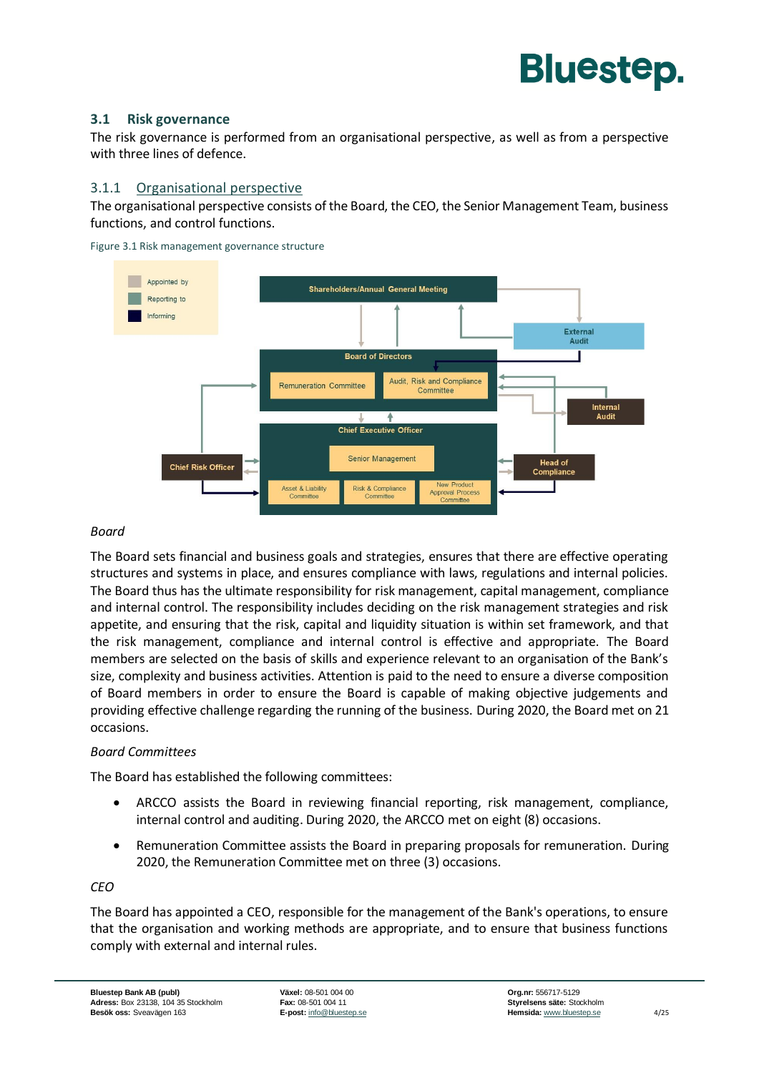#### **3.1 Risk governance**

The risk governance is performed from an organisational perspective, as well as from a perspective with three lines of defence.

#### 3.1.1 Organisational perspective

The organisational perspective consists of the Board, the CEO, the Senior Management Team, business functions, and control functions.

Figure 3.1 Risk management governance structure



#### *Board*

The Board sets financial and business goals and strategies, ensures that there are effective operating structures and systems in place, and ensures compliance with laws, regulations and internal policies. The Board thus has the ultimate responsibility for risk management, capital management, compliance and internal control. The responsibility includes deciding on the risk management strategies and risk appetite, and ensuring that the risk, capital and liquidity situation is within set framework, and that the risk management, compliance and internal control is effective and appropriate. The Board members are selected on the basis of skills and experience relevant to an organisation of the Bank's size, complexity and business activities. Attention is paid to the need to ensure a diverse composition of Board members in order to ensure the Board is capable of making objective judgements and providing effective challenge regarding the running of the business. During 2020, the Board met on 21 occasions.

#### *Board Committees*

The Board has established the following committees:

- ARCCO assists the Board in reviewing financial reporting, risk management, compliance, internal control and auditing. During 2020, the ARCCO met on eight (8) occasions.
- Remuneration Committee assists the Board in preparing proposals for remuneration. During 2020, the Remuneration Committee met on three (3) occasions.

#### *CEO*

The Board has appointed a CEO, responsible for the management of the Bank's operations, to ensure that the organisation and working methods are appropriate, and to ensure that business functions comply with external and internal rules.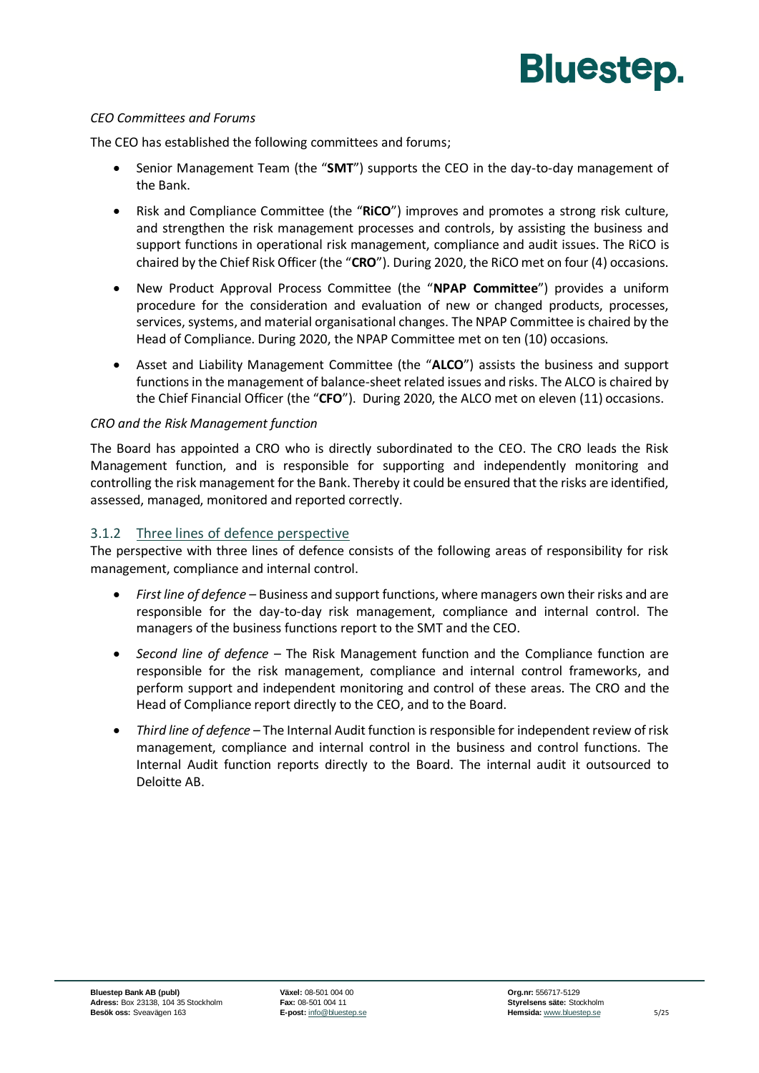#### *CEO Committees and Forums*

The CEO has established the following committees and forums;

- Senior Management Team (the "**SMT**") supports the CEO in the day-to-day management of the Bank.
- Risk and Compliance Committee (the "**RiCO**") improves and promotes a strong risk culture, and strengthen the risk management processes and controls, by assisting the business and support functions in operational risk management, compliance and audit issues. The RiCO is chaired by the Chief Risk Officer (the "**CRO**"). During 2020, the RiCO met on four (4) occasions.
- New Product Approval Process Committee (the "**NPAP Committee**") provides a uniform procedure for the consideration and evaluation of new or changed products, processes, services, systems, and material organisational changes. The NPAP Committee is chaired by the Head of Compliance. During 2020, the NPAP Committee met on ten (10) occasions.
- Asset and Liability Management Committee (the "**ALCO**") assists the business and support functions in the management of balance-sheet related issues and risks. The ALCO is chaired by the Chief Financial Officer (the "**CFO**"). During 2020, the ALCO met on eleven (11) occasions.

#### *CRO and the Risk Management function*

The Board has appointed a CRO who is directly subordinated to the CEO. The CRO leads the Risk Management function, and is responsible for supporting and independently monitoring and controlling the risk management for the Bank. Thereby it could be ensured that the risks are identified, assessed, managed, monitored and reported correctly.

#### 3.1.2 Three lines of defence perspective

The perspective with three lines of defence consists of the following areas of responsibility for risk management, compliance and internal control.

- *First line of defence* Business and support functions, where managers own their risks and are responsible for the day-to-day risk management, compliance and internal control. The managers of the business functions report to the SMT and the CEO.
- *Second line of defence* The Risk Management function and the Compliance function are responsible for the risk management, compliance and internal control frameworks, and perform support and independent monitoring and control of these areas. The CRO and the Head of Compliance report directly to the CEO, and to the Board.
- *Third line of defence* The Internal Audit function is responsible for independent review of risk management, compliance and internal control in the business and control functions. The Internal Audit function reports directly to the Board. The internal audit it outsourced to Deloitte AB.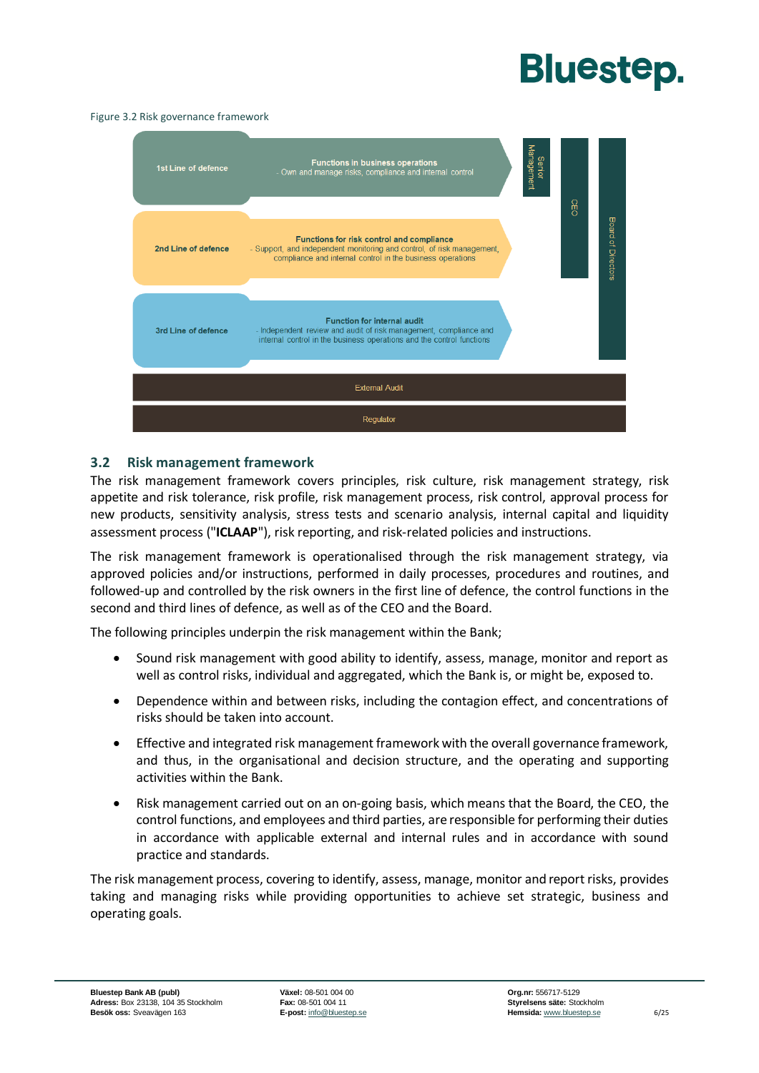#### Figure 3.2 Risk governance framework



#### <span id="page-7-0"></span>**3.2 Risk management framework**

The risk management framework covers principles, risk culture, risk management strategy, risk appetite and risk tolerance, risk profile, risk management process, risk control, approval process for new products, sensitivity analysis, stress tests and scenario analysis, internal capital and liquidity assessment process ("**ICLAAP**"), risk reporting, and risk-related policies and instructions.

The risk management framework is operationalised through the risk management strategy, via approved policies and/or instructions, performed in daily processes, procedures and routines, and followed-up and controlled by the risk owners in the first line of defence, the control functions in the second and third lines of defence, as well as of the CEO and the Board.

The following principles underpin the risk management within the Bank;

- Sound risk management with good ability to identify, assess, manage, monitor and report as well as control risks, individual and aggregated, which the Bank is, or might be, exposed to.
- Dependence within and between risks, including the contagion effect, and concentrations of risks should be taken into account.
- Effective and integrated risk management framework with the overall governance framework, and thus, in the organisational and decision structure, and the operating and supporting activities within the Bank.
- Risk management carried out on an on-going basis, which means that the Board, the CEO, the control functions, and employees and third parties, are responsible for performing their duties in accordance with applicable external and internal rules and in accordance with sound practice and standards.

The risk management process, covering to identify, assess, manage, monitor and report risks, provides taking and managing risks while providing opportunities to achieve set strategic, business and operating goals.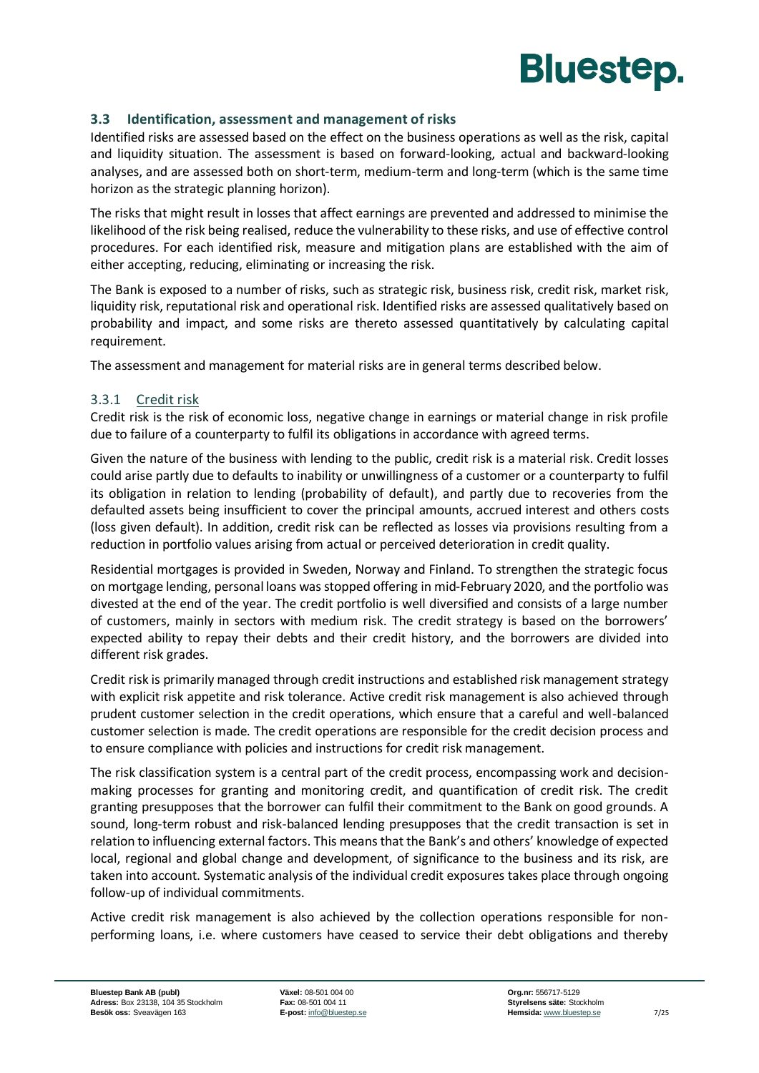

#### <span id="page-8-0"></span>**3.3 Identification, assessment and management of risks**

Identified risks are assessed based on the effect on the business operations as well as the risk, capital and liquidity situation. The assessment is based on forward-looking, actual and backward-looking analyses, and are assessed both on short-term, medium-term and long-term (which is the same time horizon as the strategic planning horizon).

The risks that might result in losses that affect earnings are prevented and addressed to minimise the likelihood of the risk being realised, reduce the vulnerability to these risks, and use of effective control procedures. For each identified risk, measure and mitigation plans are established with the aim of either accepting, reducing, eliminating or increasing the risk.

The Bank is exposed to a number of risks, such as strategic risk, business risk, credit risk, market risk, liquidity risk, reputational risk and operational risk. Identified risks are assessed qualitatively based on probability and impact, and some risks are thereto assessed quantitatively by calculating capital requirement.

The assessment and management for material risks are in general terms described below.

#### 3.3.1 Credit risk

Credit risk is the risk of economic loss, negative change in earnings or material change in risk profile due to failure of a counterparty to fulfil its obligations in accordance with agreed terms.

Given the nature of the business with lending to the public, credit risk is a material risk. Credit losses could arise partly due to defaults to inability or unwillingness of a customer or a counterparty to fulfil its obligation in relation to lending (probability of default), and partly due to recoveries from the defaulted assets being insufficient to cover the principal amounts, accrued interest and others costs (loss given default). In addition, credit risk can be reflected as losses via provisions resulting from a reduction in portfolio values arising from actual or perceived deterioration in credit quality.

Residential mortgages is provided in Sweden, Norway and Finland. To strengthen the strategic focus on mortgage lending, personal loans was stopped offering in mid-February 2020, and the portfolio was divested at the end of the year. The credit portfolio is well diversified and consists of a large number of customers, mainly in sectors with medium risk. The credit strategy is based on the borrowers' expected ability to repay their debts and their credit history, and the borrowers are divided into different risk grades.

Credit risk is primarily managed through credit instructions and established risk management strategy with explicit risk appetite and risk tolerance. Active credit risk management is also achieved through prudent customer selection in the credit operations, which ensure that a careful and well-balanced customer selection is made. The credit operations are responsible for the credit decision process and to ensure compliance with policies and instructions for credit risk management.

The risk classification system is a central part of the credit process, encompassing work and decisionmaking processes for granting and monitoring credit, and quantification of credit risk. The credit granting presupposes that the borrower can fulfil their commitment to the Bank on good grounds. A sound, long-term robust and risk-balanced lending presupposes that the credit transaction is set in relation to influencing external factors. This means that the Bank's and others' knowledge of expected local, regional and global change and development, of significance to the business and its risk, are taken into account. Systematic analysis of the individual credit exposures takes place through ongoing follow-up of individual commitments.

Active credit risk management is also achieved by the collection operations responsible for nonperforming loans, i.e. where customers have ceased to service their debt obligations and thereby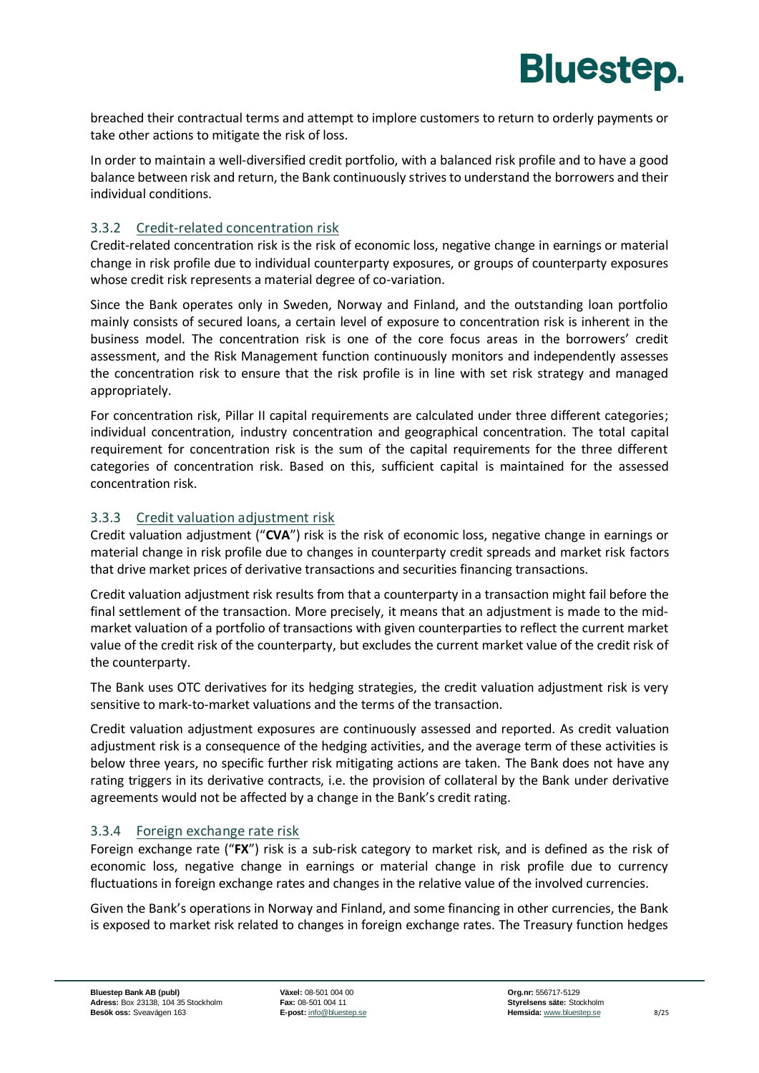

breached their contractual terms and attempt to implore customers to return to orderly payments or take other actions to mitigate the risk of loss.

In order to maintain a well-diversified credit portfolio, with a balanced risk profile and to have a good balance between risk and return, the Bank continuously strives to understand the borrowers and their individual conditions.

#### 3.3.2 Credit-related concentration risk

Credit-related concentration risk is the risk of economic loss, negative change in earnings or material change in risk profile due to individual counterparty exposures, or groups of counterparty exposures whose credit risk represents a material degree of co-variation.

Since the Bank operates only in Sweden, Norway and Finland, and the outstanding loan portfolio mainly consists of secured loans, a certain level of exposure to concentration risk is inherent in the business model. The concentration risk is one of the core focus areas in the borrowers' credit assessment, and the Risk Management function continuously monitors and independently assesses the concentration risk to ensure that the risk profile is in line with set risk strategy and managed appropriately.

For concentration risk, Pillar II capital requirements are calculated under three different categories; individual concentration, industry concentration and geographical concentration. The total capital requirement for concentration risk is the sum of the capital requirements for the three different categories of concentration risk. Based on this, sufficient capital is maintained for the assessed concentration risk.

#### 3.3.3 Credit valuation adjustment risk

Credit valuation adjustment ("**CVA**") risk is the risk of economic loss, negative change in earnings or material change in risk profile due to changes in counterparty credit spreads and market risk factors that drive market prices of derivative transactions and securities financing transactions.

Credit valuation adjustment risk results from that a counterparty in a transaction might fail before the final settlement of the transaction. More precisely, it means that an adjustment is made to the mid‐ market valuation of a portfolio of transactions with given counterparties to reflect the current market value of the credit risk of the counterparty, but excludes the current market value of the credit risk of the counterparty.

The Bank uses OTC derivatives for its hedging strategies, the credit valuation adjustment risk is very sensitive to mark-to-market valuations and the terms of the transaction.

Credit valuation adjustment exposures are continuously assessed and reported. As credit valuation adjustment risk is a consequence of the hedging activities, and the average term of these activities is below three years, no specific further risk mitigating actions are taken. The Bank does not have any rating triggers in its derivative contracts, i.e. the provision of collateral by the Bank under derivative agreements would not be affected by a change in the Bank's credit rating.

#### 3.3.4 Foreign exchange rate risk

Foreign exchange rate ("**FX**") risk is a sub-risk category to market risk, and is defined as the risk of economic loss, negative change in earnings or material change in risk profile due to currency fluctuations in foreign exchange rates and changes in the relative value of the involved currencies.

Given the Bank's operations in Norway and Finland, and some financing in other currencies, the Bank is exposed to market risk related to changes in foreign exchange rates. The Treasury function hedges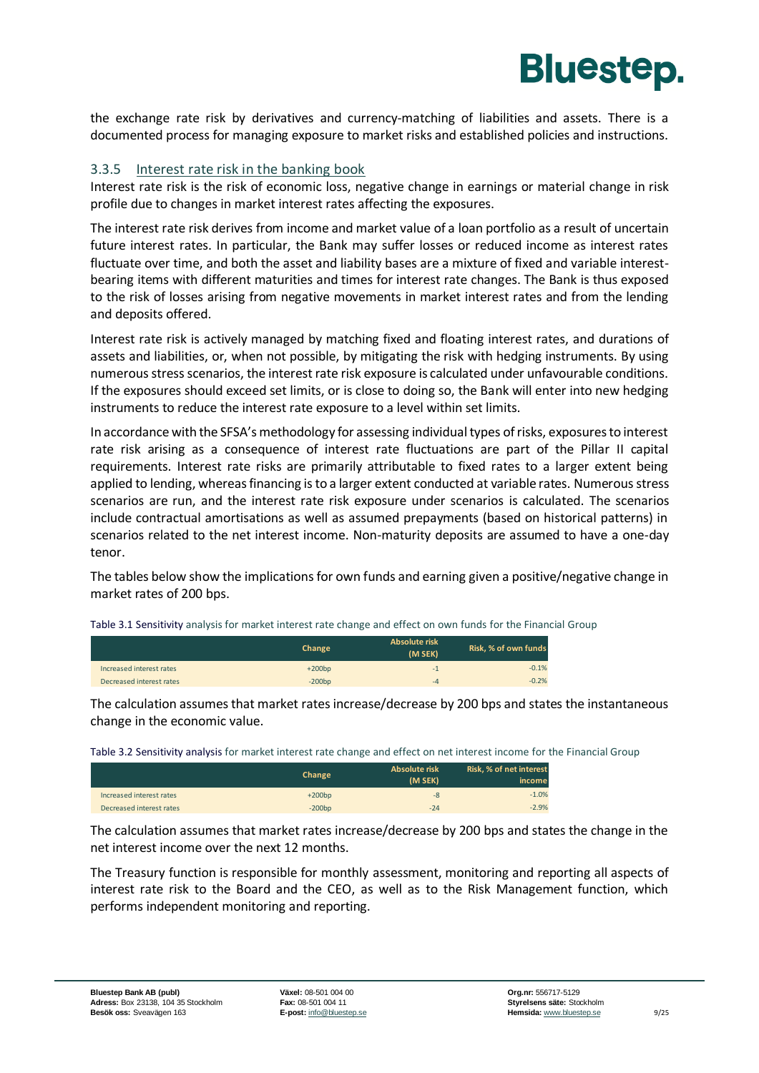the exchange rate risk by derivatives and currency-matching of liabilities and assets. There is a documented process for managing exposure to market risks and established policies and instructions.

#### 3.3.5 Interest rate risk in the banking book

Interest rate risk is the risk of economic loss, negative change in earnings or material change in risk profile due to changes in market interest rates affecting the exposures.

The interest rate risk derives from income and market value of a loan portfolio as a result of uncertain future interest rates. In particular, the Bank may suffer losses or reduced income as interest rates fluctuate over time, and both the asset and liability bases are a mixture of fixed and variable interestbearing items with different maturities and times for interest rate changes. The Bank is thus exposed to the risk of losses arising from negative movements in market interest rates and from the lending and deposits offered.

Interest rate risk is actively managed by matching fixed and floating interest rates, and durations of assets and liabilities, or, when not possible, by mitigating the risk with hedging instruments. By using numerous stress scenarios, the interest rate risk exposure is calculated under unfavourable conditions. If the exposures should exceed set limits, or is close to doing so, the Bank will enter into new hedging instruments to reduce the interest rate exposure to a level within set limits.

In accordance with the SFSA's methodology for assessing individual types of risks, exposures to interest rate risk arising as a consequence of interest rate fluctuations are part of the Pillar II capital requirements. Interest rate risks are primarily attributable to fixed rates to a larger extent being applied to lending, whereas financing is to a larger extent conducted at variable rates. Numerous stress scenarios are run, and the interest rate risk exposure under scenarios is calculated. The scenarios include contractual amortisations as well as assumed prepayments (based on historical patterns) in scenarios related to the net interest income. Non-maturity deposits are assumed to have a one-day tenor.

The tables below show the implications for own funds and earning given a positive/negative change in market rates of 200 bps.

| Table 3.1 Sensitivity analysis for market interest rate change and effect on own funds for the Financial Group |
|----------------------------------------------------------------------------------------------------------------|
|----------------------------------------------------------------------------------------------------------------|

|                          | <b>Change</b> | <b>Absolute risk</b><br>(M SEK) | Risk, % of own funds |
|--------------------------|---------------|---------------------------------|----------------------|
| Increased interest rates | $+200bp$      | $-1$                            | $-0.1%$              |
| Decreased interest rates | $-200bp$      | -4                              | $-0.2%$              |

The calculation assumes that market rates increase/decrease by 200 bps and states the instantaneous change in the economic value.

| Table 3.2 Sensitivity analysis for market interest rate change and effect on net interest income for the Financial Group |
|--------------------------------------------------------------------------------------------------------------------------|
|--------------------------------------------------------------------------------------------------------------------------|

|                          | <b>Change</b> | Absolute risk<br>(M SEK) | Risk, % of net interest<br>income |
|--------------------------|---------------|--------------------------|-----------------------------------|
| Increased interest rates | $+200bp$      | -8                       | $-1.0%$                           |
| Decreased interest rates | $-200bp$      | $-24$                    | $-2.9%$                           |

The calculation assumes that market rates increase/decrease by 200 bps and states the change in the net interest income over the next 12 months.

The Treasury function is responsible for monthly assessment, monitoring and reporting all aspects of interest rate risk to the Board and the CEO, as well as to the Risk Management function, which performs independent monitoring and reporting.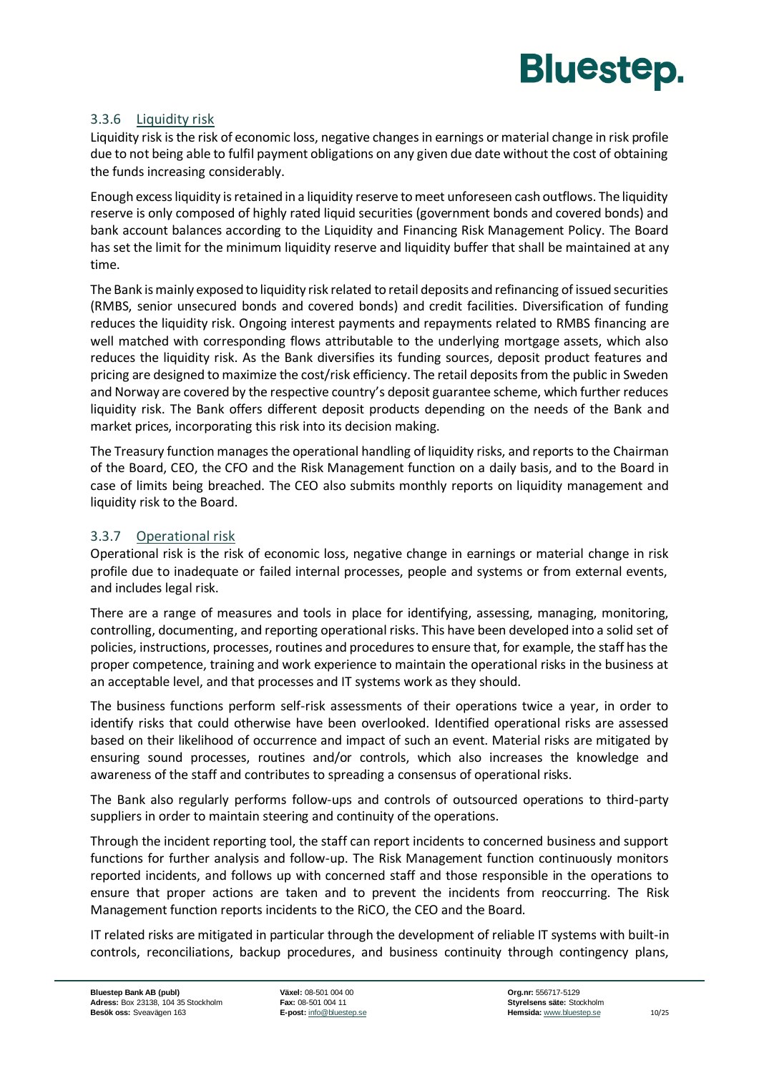

#### 3.3.6 Liquidity risk

Liquidity risk is the risk of economic loss, negative changesin earnings or material change in risk profile due to not being able to fulfil payment obligations on any given due date without the cost of obtaining the funds increasing considerably.

Enough excess liquidity is retained in a liquidity reserve to meet unforeseen cash outflows. The liquidity reserve is only composed of highly rated liquid securities (government bonds and covered bonds) and bank account balances according to the Liquidity and Financing Risk Management Policy. The Board has set the limit for the minimum liquidity reserve and liquidity buffer that shall be maintained at any time.

The Bank is mainly exposed to liquidity risk related to retail deposits and refinancing of issued securities (RMBS, senior unsecured bonds and covered bonds) and credit facilities. Diversification of funding reduces the liquidity risk. Ongoing interest payments and repayments related to RMBS financing are well matched with corresponding flows attributable to the underlying mortgage assets, which also reduces the liquidity risk. As the Bank diversifies its funding sources, deposit product features and pricing are designed to maximize the cost/risk efficiency. The retail deposits from the public in Sweden and Norway are covered by the respective country's deposit guarantee scheme, which further reduces liquidity risk. The Bank offers different deposit products depending on the needs of the Bank and market prices, incorporating this risk into its decision making.

The Treasury function manages the operational handling of liquidity risks, and reports to the Chairman of the Board, CEO, the CFO and the Risk Management function on a daily basis, and to the Board in case of limits being breached. The CEO also submits monthly reports on liquidity management and liquidity risk to the Board.

#### 3.3.7 Operational risk

Operational risk is the risk of economic loss, negative change in earnings or material change in risk profile due to inadequate or failed internal processes, people and systems or from external events, and includes legal risk.

There are a range of measures and tools in place for identifying, assessing, managing, monitoring, controlling, documenting, and reporting operational risks. This have been developed into a solid set of policies, instructions, processes, routines and procedures to ensure that, for example, the staff has the proper competence, training and work experience to maintain the operational risks in the business at an acceptable level, and that processes and IT systems work as they should.

The business functions perform self-risk assessments of their operations twice a year, in order to identify risks that could otherwise have been overlooked. Identified operational risks are assessed based on their likelihood of occurrence and impact of such an event. Material risks are mitigated by ensuring sound processes, routines and/or controls, which also increases the knowledge and awareness of the staff and contributes to spreading a consensus of operational risks.

The Bank also regularly performs follow-ups and controls of outsourced operations to third-party suppliers in order to maintain steering and continuity of the operations.

Through the incident reporting tool, the staff can report incidents to concerned business and support functions for further analysis and follow-up. The Risk Management function continuously monitors reported incidents, and follows up with concerned staff and those responsible in the operations to ensure that proper actions are taken and to prevent the incidents from reoccurring. The Risk Management function reports incidents to the RiCO, the CEO and the Board.

IT related risks are mitigated in particular through the development of reliable IT systems with built-in controls, reconciliations, backup procedures, and business continuity through contingency plans,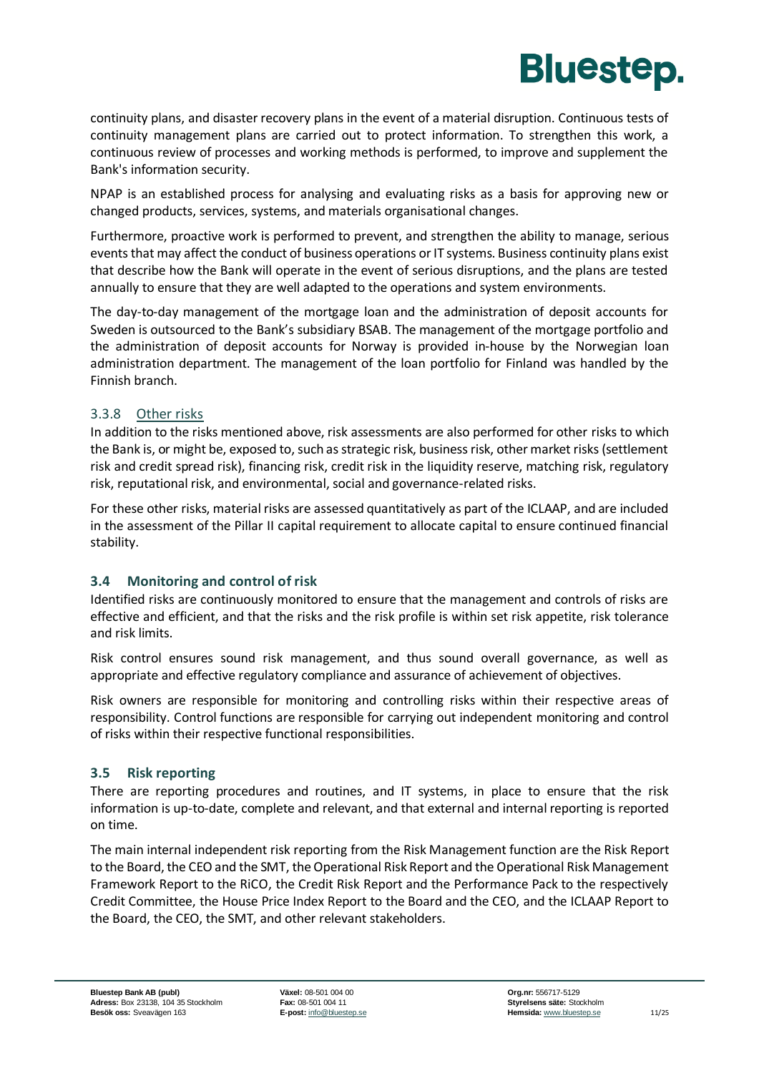

continuity plans, and disaster recovery plans in the event of a material disruption. Continuous tests of continuity management plans are carried out to protect information. To strengthen this work, a continuous review of processes and working methods is performed, to improve and supplement the Bank's information security.

NPAP is an established process for analysing and evaluating risks as a basis for approving new or changed products, services, systems, and materials organisational changes.

Furthermore, proactive work is performed to prevent, and strengthen the ability to manage, serious events that may affect the conduct of business operations or IT systems. Business continuity plans exist that describe how the Bank will operate in the event of serious disruptions, and the plans are tested annually to ensure that they are well adapted to the operations and system environments.

The day-to-day management of the mortgage loan and the administration of deposit accounts for Sweden is outsourced to the Bank's subsidiary BSAB. The management of the mortgage portfolio and the administration of deposit accounts for Norway is provided in-house by the Norwegian loan administration department. The management of the loan portfolio for Finland was handled by the Finnish branch.

#### 3.3.8 Other risks

In addition to the risks mentioned above, risk assessments are also performed for other risks to which the Bank is, or might be, exposed to, such as strategic risk, business risk, other market risks (settlement risk and credit spread risk), financing risk, credit risk in the liquidity reserve, matching risk, regulatory risk, reputational risk, and environmental, social and governance-related risks.

For these other risks, material risks are assessed quantitatively as part of the ICLAAP, and are included in the assessment of the Pillar II capital requirement to allocate capital to ensure continued financial stability.

#### <span id="page-12-0"></span>**3.4 Monitoring and control of risk**

Identified risks are continuously monitored to ensure that the management and controls of risks are effective and efficient, and that the risks and the risk profile is within set risk appetite, risk tolerance and risk limits.

Risk control ensures sound risk management, and thus sound overall governance, as well as appropriate and effective regulatory compliance and assurance of achievement of objectives.

Risk owners are responsible for monitoring and controlling risks within their respective areas of responsibility. Control functions are responsible for carrying out independent monitoring and control of risks within their respective functional responsibilities.

#### <span id="page-12-1"></span>**3.5 Risk reporting**

There are reporting procedures and routines, and IT systems, in place to ensure that the risk information is up-to-date, complete and relevant, and that external and internal reporting is reported on time.

The main internal independent risk reporting from the Risk Management function are the Risk Report to the Board, the CEO and the SMT, the Operational Risk Report and the Operational Risk Management Framework Report to the RiCO, the Credit Risk Report and the Performance Pack to the respectively Credit Committee, the House Price Index Report to the Board and the CEO, and the ICLAAP Report to the Board, the CEO, the SMT, and other relevant stakeholders.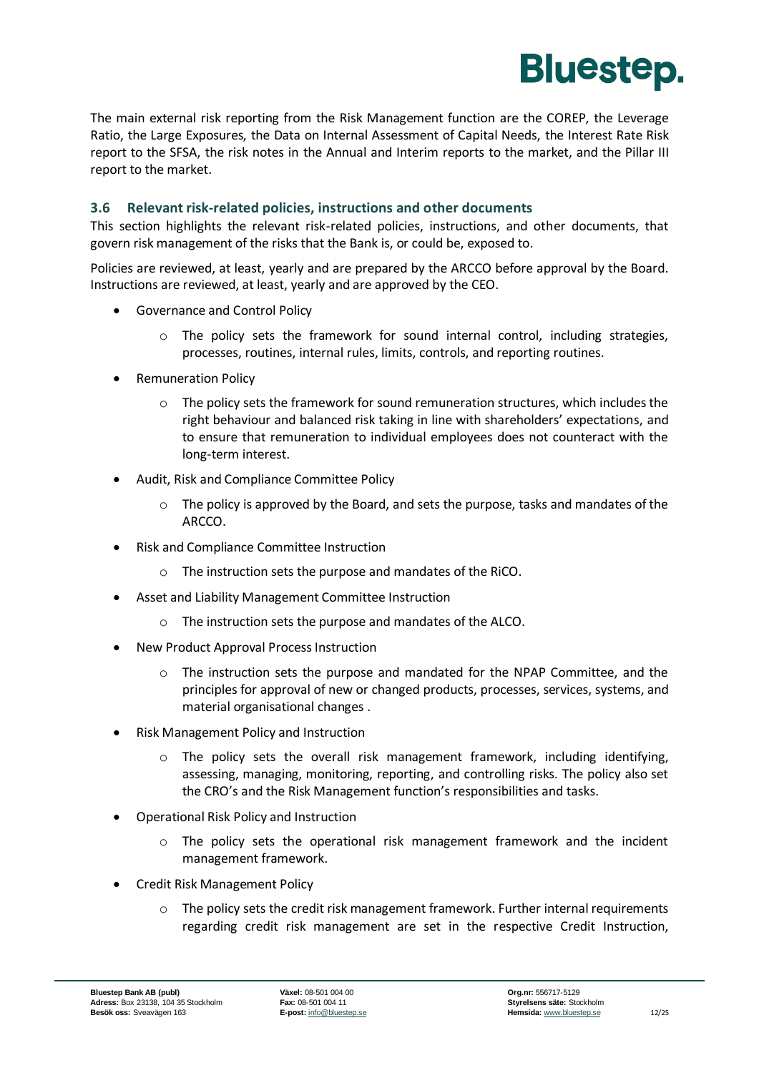

The main external risk reporting from the Risk Management function are the COREP, the Leverage Ratio, the Large Exposures, the Data on Internal Assessment of Capital Needs, the Interest Rate Risk report to the SFSA, the risk notes in the Annual and Interim reports to the market, and the Pillar III report to the market.

#### <span id="page-13-0"></span>**3.6 Relevant risk-related policies, instructions and other documents**

This section highlights the relevant risk-related policies, instructions, and other documents, that govern risk management of the risks that the Bank is, or could be, exposed to.

Policies are reviewed, at least, yearly and are prepared by the ARCCO before approval by the Board. Instructions are reviewed, at least, yearly and are approved by the CEO.

- Governance and Control Policy
	- $\circ$  The policy sets the framework for sound internal control, including strategies, processes, routines, internal rules, limits, controls, and reporting routines.
- Remuneration Policy
	- $\circ$  The policy sets the framework for sound remuneration structures, which includes the right behaviour and balanced risk taking in line with shareholders' expectations, and to ensure that remuneration to individual employees does not counteract with the long-term interest.
- Audit, Risk and Compliance Committee Policy
	- $\circ$  The policy is approved by the Board, and sets the purpose, tasks and mandates of the ARCCO.
- Risk and Compliance Committee Instruction
	- o The instruction sets the purpose and mandates of the RiCO.
- Asset and Liability Management Committee Instruction
	- o The instruction sets the purpose and mandates of the ALCO.
- New Product Approval Process Instruction
	- $\circ$  The instruction sets the purpose and mandated for the NPAP Committee, and the principles for approval of new or changed products, processes, services, systems, and material organisational changes .
- Risk Management Policy and Instruction
	- $\circ$  The policy sets the overall risk management framework, including identifying, assessing, managing, monitoring, reporting, and controlling risks. The policy also set the CRO's and the Risk Management function's responsibilities and tasks.
- Operational Risk Policy and Instruction
	- $\circ$  The policy sets the operational risk management framework and the incident management framework.
- Credit Risk Management Policy
	- $\circ$  The policy sets the credit risk management framework. Further internal requirements regarding credit risk management are set in the respective Credit Instruction,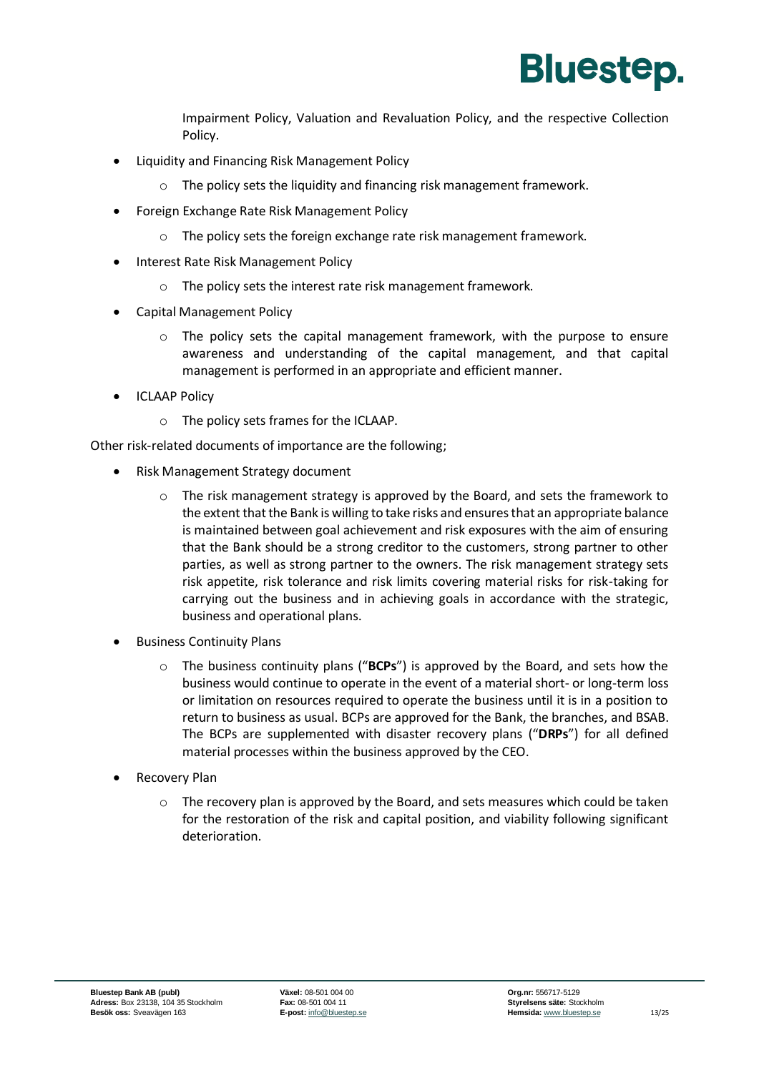

Impairment Policy, Valuation and Revaluation Policy, and the respective Collection Policy.

- Liquidity and Financing Risk Management Policy
	- The policy sets the liquidity and financing risk management framework.
- Foreign Exchange Rate Risk Management Policy
	- o The policy sets the foreign exchange rate risk management framework.
- Interest Rate Risk Management Policy
	- o The policy sets the interest rate risk management framework.
- Capital Management Policy
	- o The policy sets the capital management framework, with the purpose to ensure awareness and understanding of the capital management, and that capital management is performed in an appropriate and efficient manner.
- ICLAAP Policy
	- o The policy sets frames for the ICLAAP.

Other risk-related documents of importance are the following;

- Risk Management Strategy document
	- The risk management strategy is approved by the Board, and sets the framework to the extent that the Bank is willing to take risks and ensures that an appropriate balance is maintained between goal achievement and risk exposures with the aim of ensuring that the Bank should be a strong creditor to the customers, strong partner to other parties, as well as strong partner to the owners. The risk management strategy sets risk appetite, risk tolerance and risk limits covering material risks for risk-taking for carrying out the business and in achieving goals in accordance with the strategic, business and operational plans.
- Business Continuity Plans
	- o The business continuity plans ("**BCPs**") is approved by the Board, and sets how the business would continue to operate in the event of a material short- or long-term loss or limitation on resources required to operate the business until it is in a position to return to business as usual. BCPs are approved for the Bank, the branches, and BSAB. The BCPs are supplemented with disaster recovery plans ("**DRPs**") for all defined material processes within the business approved by the CEO.
- Recovery Plan
	- $\circ$  The recovery plan is approved by the Board, and sets measures which could be taken for the restoration of the risk and capital position, and viability following significant deterioration.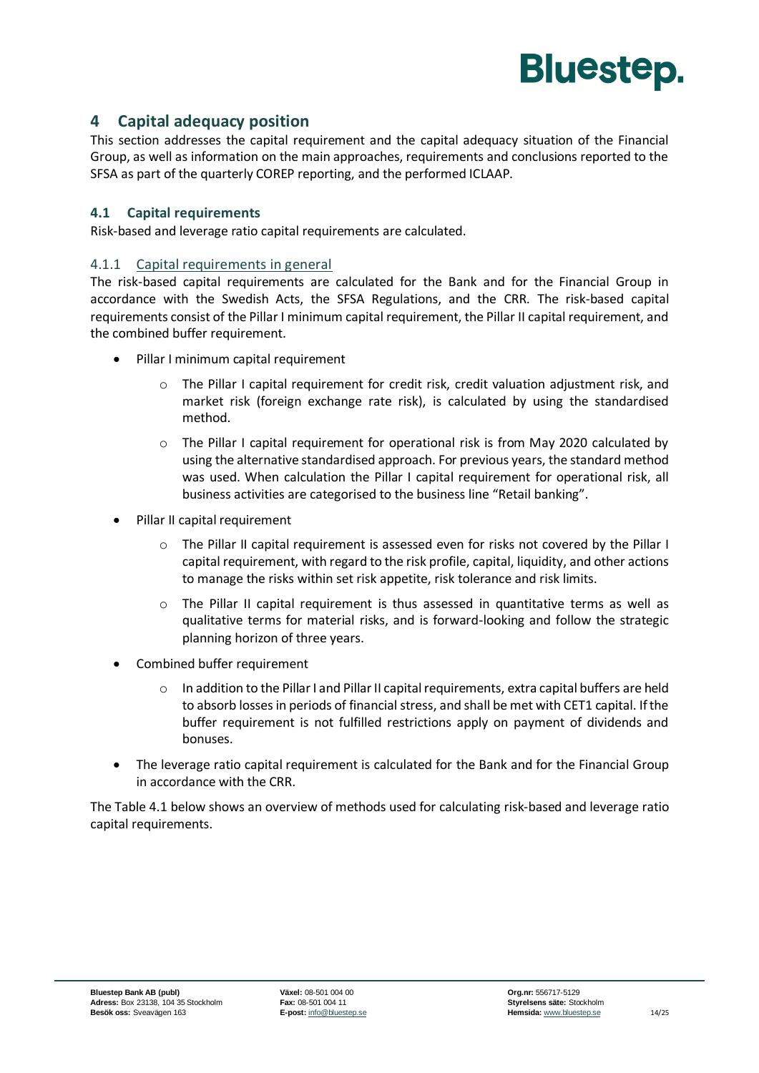

#### <span id="page-15-0"></span>**4 Capital adequacy position**

This section addresses the capital requirement and the capital adequacy situation of the Financial Group, as well as information on the main approaches, requirements and conclusions reported to the SFSA as part of the quarterly COREP reporting, and the performed ICLAAP.

#### <span id="page-15-1"></span>**4.1 Capital requirements**

Risk-based and leverage ratio capital requirements are calculated.

#### 4.1.1 Capital requirements in general

The risk-based capital requirements are calculated for the Bank and for the Financial Group in accordance with the Swedish Acts, the SFSA Regulations, and the CRR. The risk-based capital requirements consist of the Pillar I minimum capital requirement, the Pillar II capital requirement, and the combined buffer requirement.

- Pillar I minimum capital requirement
	- $\circ$  The Pillar I capital requirement for credit risk, credit valuation adjustment risk, and market risk (foreign exchange rate risk), is calculated by using the standardised method.
	- $\circ$  The Pillar I capital requirement for operational risk is from May 2020 calculated by using the alternative standardised approach. For previous years, the standard method was used. When calculation the Pillar I capital requirement for operational risk, all business activities are categorised to the business line "Retail banking".
- Pillar II capital requirement
	- o The Pillar II capital requirement is assessed even for risks not covered by the Pillar I capital requirement, with regard to the risk profile, capital, liquidity, and other actions to manage the risks within set risk appetite, risk tolerance and risk limits.
	- The Pillar II capital requirement is thus assessed in quantitative terms as well as qualitative terms for material risks, and is forward-looking and follow the strategic planning horizon of three years.
- Combined buffer requirement
	- $\circ$  In addition to the Pillar I and Pillar II capital requirements, extra capital buffers are held to absorb losses in periods of financial stress, and shall be met with CET1 capital. If the buffer requirement is not fulfilled restrictions apply on payment of dividends and bonuses.
- The leverage ratio capital requirement is calculated for the Bank and for the Financial Group in accordance with the CRR.

The Table 4.1 below shows an overview of methods used for calculating risk-based and leverage ratio capital requirements.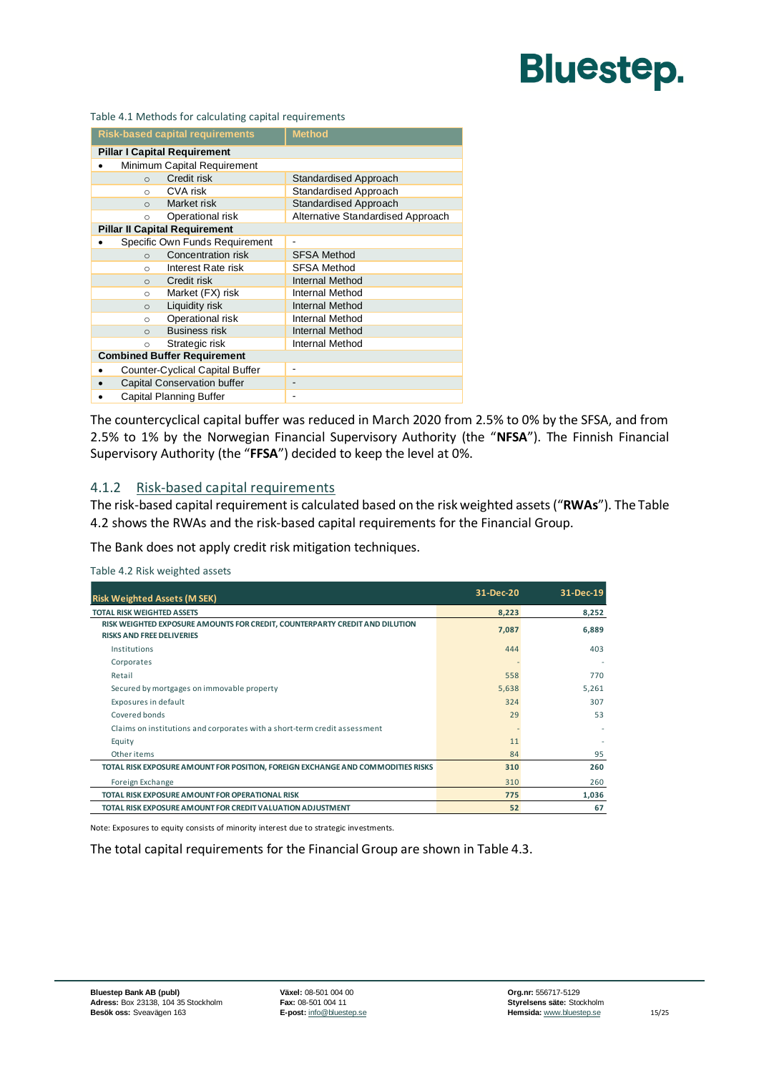Table 4.1 Methods for calculating capital requirements

| <b>Risk-based capital requirements</b> | <b>Method</b>                     |  |  |  |
|----------------------------------------|-----------------------------------|--|--|--|
| <b>Pillar I Capital Requirement</b>    |                                   |  |  |  |
| Minimum Capital Requirement            |                                   |  |  |  |
| Credit risk<br>$\circ$                 | Standardised Approach             |  |  |  |
| CVA risk<br>$\circ$                    | Standardised Approach             |  |  |  |
| Market risk<br>$\Omega$                | <b>Standardised Approach</b>      |  |  |  |
| Operational risk<br>$\circ$            | Alternative Standardised Approach |  |  |  |
| <b>Pillar II Capital Requirement</b>   |                                   |  |  |  |
| Specific Own Funds Requirement         | $\qquad \qquad \blacksquare$      |  |  |  |
| Concentration risk<br>$\Omega$         | <b>SFSA Method</b>                |  |  |  |
| Interest Rate risk<br>$\circ$          | <b>SFSA Method</b>                |  |  |  |
| Credit risk<br>$\Omega$                | Internal Method                   |  |  |  |
| Market (FX) risk<br>$\Omega$           | Internal Method                   |  |  |  |
| Liquidity risk<br>$\circ$              | Internal Method                   |  |  |  |
| Operational risk<br>$\circ$            | Internal Method                   |  |  |  |
| <b>Business risk</b><br>$\Omega$       | Internal Method                   |  |  |  |
| Strategic risk<br>$\circ$              | Internal Method                   |  |  |  |
| <b>Combined Buffer Requirement</b>     |                                   |  |  |  |
| Counter-Cyclical Capital Buffer        |                                   |  |  |  |
| Capital Conservation buffer            |                                   |  |  |  |
| Capital Planning Buffer                | $\overline{\phantom{a}}$          |  |  |  |

The countercyclical capital buffer was reduced in March 2020 from 2.5% to 0% by the SFSA, and from 2.5% to 1% by the Norwegian Financial Supervisory Authority (the "**NFSA**"). The Finnish Financial Supervisory Authority (the "**FFSA**") decided to keep the level at 0%.

#### 4.1.2 Risk-based capital requirements

The risk-based capital requirement is calculated based on the risk weighted assets ("**RWAs**"). The [Table](#page-16-0)  [4.2](#page-16-0) shows the RWAs and the risk-based capital requirements for the Financial Group.

The Bank does not apply credit risk mitigation techniques.

<span id="page-16-0"></span>Table 4.2 Risk weighted assets

| <b>Risk Weighted Assets (M SEK)</b>                                                                             | 31-Dec-20 | 31-Dec-19 |
|-----------------------------------------------------------------------------------------------------------------|-----------|-----------|
| <b>TOTAL RISK WEIGHTED ASSETS</b>                                                                               | 8,223     | 8,252     |
| RISK WEIGHTED EXPOSURE AMOUNTS FOR CREDIT, COUNTERPARTY CREDIT AND DILUTION<br><b>RISKS AND FREE DELIVERIES</b> | 7,087     | 6,889     |
| Institutions                                                                                                    | 444       | 403       |
| Corporates                                                                                                      |           |           |
| Retail                                                                                                          | 558       | 770       |
| Secured by mortgages on immovable property                                                                      | 5,638     | 5,261     |
| Exposures in default                                                                                            | 324       | 307       |
| Covered bonds                                                                                                   | 29        | 53        |
| Claims on institutions and corporates with a short-term credit assessment                                       |           |           |
| Equity                                                                                                          | 11        |           |
| Other items                                                                                                     | 84        | 95        |
| TOTAL RISK EXPOSURE AMOUNT FOR POSITION, FOREIGN EXCHANGE AND COMMODITIES RISKS                                 | 310       | 260       |
| Foreign Exchange                                                                                                | 310       | 260       |
| TOTAL RISK EXPOSURE AMOUNT FOR OPERATIONAL RISK                                                                 | 775       | 1,036     |
| TOTAL RISK EXPOSURE AMOUNT FOR CREDIT VALUATION ADJUSTMENT                                                      | 52        | 67        |

Note: Exposures to equity consists of minority interest due to strategic investments.

The total capital requirements for the Financial Group are shown i[n Table 4.3.](#page-17-1)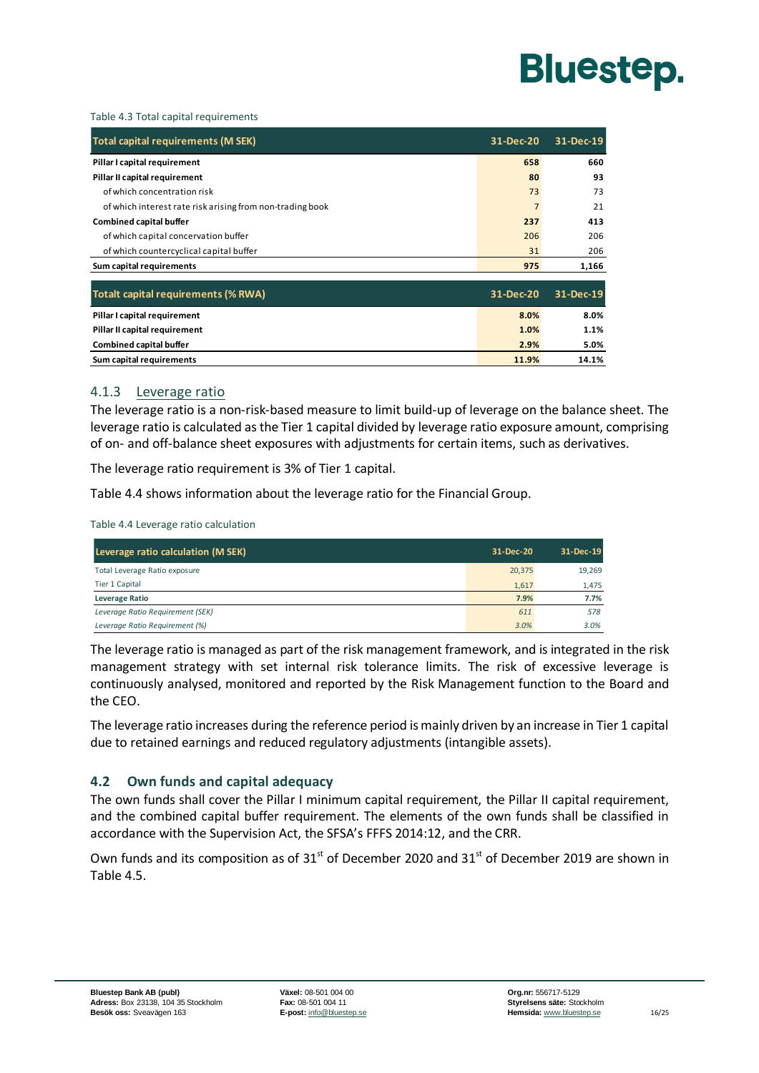

#### <span id="page-17-1"></span>Table 4.3 Total capital requirements

| Total capital requirements (M SEK)                        | 31-Dec-20      | 31-Dec-19 |
|-----------------------------------------------------------|----------------|-----------|
| Pillar I capital requirement                              | 658            | 660       |
| Pillar II capital requirement                             | 80             | 93        |
| of which concentration risk                               | 73             | 73        |
| of which interest rate risk arising from non-trading book | $\overline{7}$ | 21        |
| <b>Combined capital buffer</b>                            | 237            | 413       |
| of which capital concervation buffer                      | 206            | 206       |
| of which countercyclical capital buffer                   | 31             | 206       |
| Sum capital requirements                                  | 975            | 1,166     |
| <b>Totalt capital requirements (% RWA)</b>                |                | 31-Dec-19 |
| Pillar I capital requirement                              | 8.0%           | 8.0%      |
| Pillar II capital requirement                             | 1.0%           | 1.1%      |
| <b>Combined capital buffer</b>                            | 2.9%           | 5.0%      |
| Sum capital requirements                                  | 11.9%          | 14.1%     |

#### 4.1.3 Leverage ratio

The leverage ratio is a non-risk-based measure to limit build-up of leverage on the balance sheet. The leverage ratio is calculated as the Tier 1 capital divided by leverage ratio exposure amount, comprising of on- and off-balance sheet exposures with adjustments for certain items, such as derivatives.

The leverage ratio requirement is 3% of Tier 1 capital.

[Table 4.4](#page-17-2) shows information about the leverage ratio for the Financial Group.

<span id="page-17-2"></span>Table 4.4 Leverage ratio calculation

| Leverage ratio calculation (M SEK) | 31-Dec-20 | 31-Dec-19 |
|------------------------------------|-----------|-----------|
| Total Leverage Ratio exposure      | 20,375    | 19,269    |
| Tier 1 Capital                     | 1.617     | 1,475     |
| <b>Leverage Ratio</b>              | 7.9%      | 7.7%      |
| Leverage Ratio Requirement (SEK)   | 611       | 578       |
| Leverage Ratio Requirement (%)     | 3.0%      | 3.0%      |

The leverage ratio is managed as part of the risk management framework, and is integrated in the risk management strategy with set internal risk tolerance limits. The risk of excessive leverage is continuously analysed, monitored and reported by the Risk Management function to the Board and the CEO.

The leverage ratio increases during the reference period is mainly driven by an increase in Tier 1 capital due to retained earnings and reduced regulatory adjustments (intangible assets).

#### <span id="page-17-0"></span>**4.2 Own funds and capital adequacy**

The own funds shall cover the Pillar I minimum capital requirement, the Pillar II capital requirement, and the combined capital buffer requirement. The elements of the own funds shall be classified in accordance with the Supervision Act, the SFSA's FFFS 2014:12, and the CRR.

Own funds and its composition as of  $31<sup>st</sup>$  of December 2020 and  $31<sup>st</sup>$  of December 2019 are shown in [Table 4.5.](#page-18-2)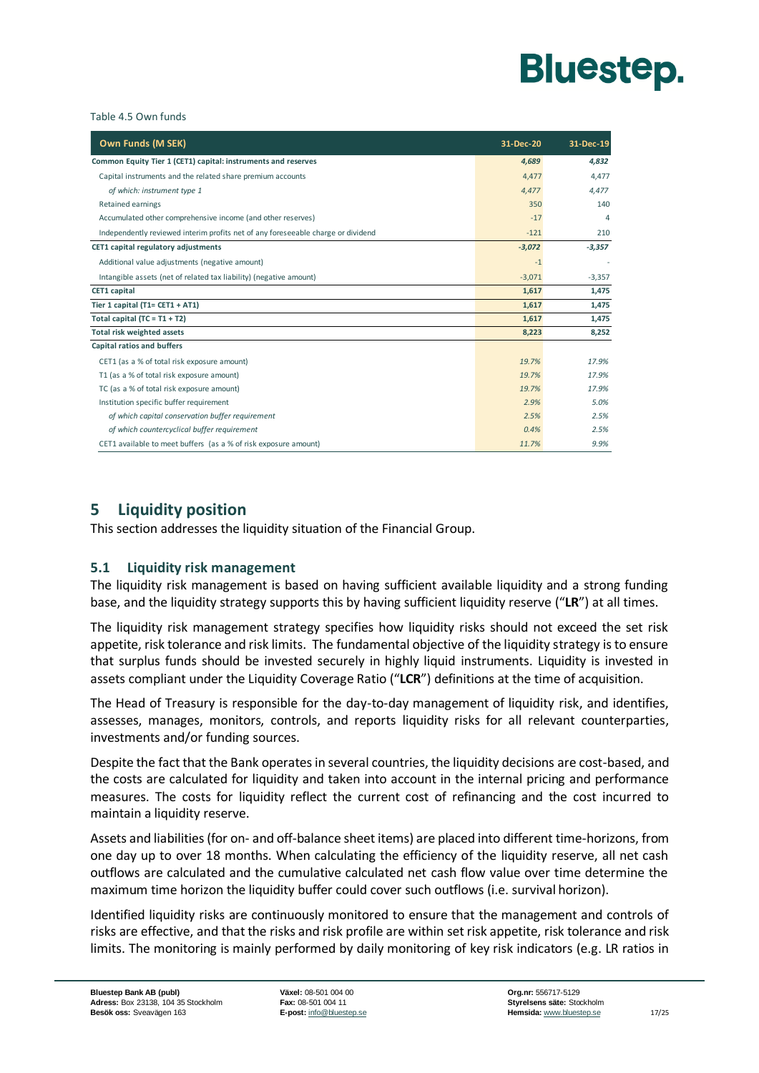

#### <span id="page-18-2"></span>Table 4.5 Own funds

| Own Funds (M SEK)                                                                | 31-Dec-20 | 31-Dec-19 |
|----------------------------------------------------------------------------------|-----------|-----------|
| Common Equity Tier 1 (CET1) capital: instruments and reserves                    | 4,689     | 4,832     |
| Capital instruments and the related share premium accounts                       | 4.477     | 4.477     |
| of which: instrument type 1                                                      | 4,477     | 4,477     |
| Retained earnings                                                                | 350       | 140       |
| Accumulated other comprehensive income (and other reserves)                      | $-17$     | 4         |
| Independently reviewed interim profits net of any foreseeable charge or dividend | $-121$    | 210       |
| CET1 capital regulatory adjustments                                              | $-3,072$  | $-3,357$  |
| Additional value adjustments (negative amount)                                   | $-1$      |           |
| Intangible assets (net of related tax liability) (negative amount)               | $-3,071$  | $-3,357$  |
| <b>CET1</b> capital                                                              | 1,617     | 1,475     |
| Tier 1 capital (T1= $CET1 + AT1$ )                                               | 1,617     | 1,475     |
| Total capital $(TC = T1 + T2)$                                                   | 1,617     | 1,475     |
| Total risk weighted assets                                                       | 8,223     | 8,252     |
| Capital ratios and buffers                                                       |           |           |
| CET1 (as a % of total risk exposure amount)                                      | 19.7%     | 17.9%     |
| T1 (as a % of total risk exposure amount)                                        | 19.7%     | 17.9%     |
| TC (as a % of total risk exposure amount)                                        | 19.7%     | 17.9%     |
| Institution specific buffer requirement                                          | 2.9%      | 5.0%      |
| of which capital conservation buffer requirement                                 | 2.5%      | 2.5%      |
| of which countercyclical buffer requirement                                      | 0.4%      | 2.5%      |
| CET1 available to meet buffers (as a % of risk exposure amount)                  | 11.7%     | 9.9%      |

#### <span id="page-18-0"></span>**5 Liquidity position**

This section addresses the liquidity situation of the Financial Group.

#### <span id="page-18-1"></span>**5.1 Liquidity risk management**

The liquidity risk management is based on having sufficient available liquidity and a strong funding base, and the liquidity strategy supports this by having sufficient liquidity reserve ("**LR**") at all times.

The liquidity risk management strategy specifies how liquidity risks should not exceed the set risk appetite, risk tolerance and risk limits. The fundamental objective of the liquidity strategy is to ensure that surplus funds should be invested securely in highly liquid instruments. Liquidity is invested in assets compliant under the Liquidity Coverage Ratio ("**LCR**") definitions at the time of acquisition.

The Head of Treasury is responsible for the day-to-day management of liquidity risk, and identifies, assesses, manages, monitors, controls, and reports liquidity risks for all relevant counterparties, investments and/or funding sources.

Despite the fact that the Bank operates in several countries, the liquidity decisions are cost-based, and the costs are calculated for liquidity and taken into account in the internal pricing and performance measures. The costs for liquidity reflect the current cost of refinancing and the cost incurred to maintain a liquidity reserve.

Assets and liabilities (for on- and off-balance sheet items) are placed into different time-horizons, from one day up to over 18 months. When calculating the efficiency of the liquidity reserve, all net cash outflows are calculated and the cumulative calculated net cash flow value over time determine the maximum time horizon the liquidity buffer could cover such outflows (i.e. survival horizon).

Identified liquidity risks are continuously monitored to ensure that the management and controls of risks are effective, and that the risks and risk profile are within set risk appetite, risk tolerance and risk limits. The monitoring is mainly performed by daily monitoring of key risk indicators (e.g. LR ratios in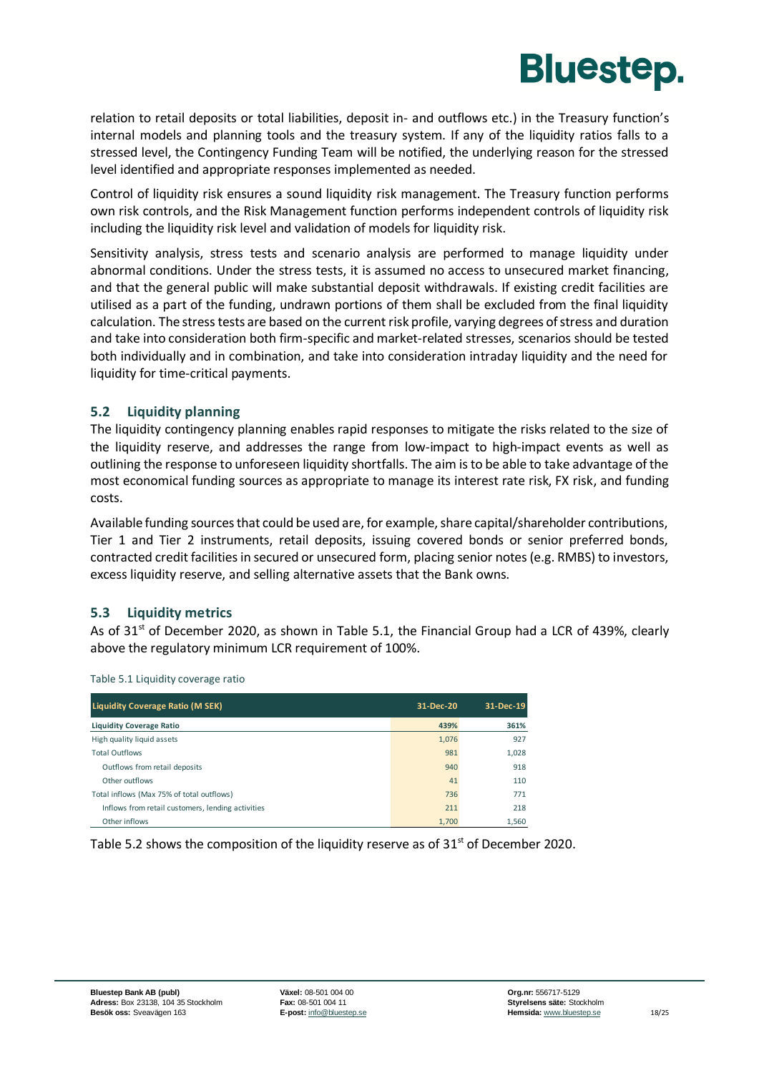

relation to retail deposits or total liabilities, deposit in- and outflows etc.) in the Treasury function's internal models and planning tools and the treasury system. If any of the liquidity ratios falls to a stressed level, the Contingency Funding Team will be notified, the underlying reason for the stressed level identified and appropriate responses implemented as needed.

Control of liquidity risk ensures a sound liquidity risk management. The Treasury function performs own risk controls, and the Risk Management function performs independent controls of liquidity risk including the liquidity risk level and validation of models for liquidity risk.

Sensitivity analysis, stress tests and scenario analysis are performed to manage liquidity under abnormal conditions. Under the stress tests, it is assumed no access to unsecured market financing, and that the general public will make substantial deposit withdrawals. If existing credit facilities are utilised as a part of the funding, undrawn portions of them shall be excluded from the final liquidity calculation. The stress tests are based on the current risk profile, varying degrees of stress and duration and take into consideration both firm-specific and market-related stresses, scenarios should be tested both individually and in combination, and take into consideration intraday liquidity and the need for liquidity for time-critical payments.

#### <span id="page-19-0"></span>**5.2 Liquidity planning**

The liquidity contingency planning enables rapid responses to mitigate the risks related to the size of the liquidity reserve, and addresses the range from low-impact to high-impact events as well as outlining the response to unforeseen liquidity shortfalls. The aim is to be able to take advantage of the most economical funding sources as appropriate to manage its interest rate risk, FX risk, and funding costs.

Available funding sources that could be used are, for example, share capital/shareholder contributions, Tier 1 and Tier 2 instruments, retail deposits, issuing covered bonds or senior preferred bonds, contracted credit facilities in secured or unsecured form, placing senior notes (e.g. RMBS) to investors, excess liquidity reserve, and selling alternative assets that the Bank owns.

#### <span id="page-19-1"></span>**5.3 Liquidity metrics**

As of  $31<sup>st</sup>$  of December 2020, as shown in [Table 5.1,](#page-19-2) the Financial Group had a LCR of 439%, clearly above the regulatory minimum LCR requirement of 100%.

| <b>Liquidity Coverage Ratio (M SEK)</b>           | 31-Dec-20 | 31-Dec-19 |
|---------------------------------------------------|-----------|-----------|
| <b>Liquidity Coverage Ratio</b>                   | 439%      | 361%      |
| High quality liquid assets                        | 1,076     | 927       |
| <b>Total Outflows</b>                             | 981       | 1,028     |
| Outflows from retail deposits                     | 940       | 918       |
| Other outflows                                    | 41        | 110       |
| Total inflows (Max 75% of total outflows)         | 736       | 771       |
| Inflows from retail customers, lending activities | 211       | 218       |
| Other inflows                                     | 1.700     | 1.560     |

<span id="page-19-2"></span>Table 5.1 Liquidity coverage ratio

[Table 5.2](#page-20-1) shows the composition of the liquidity reserve as of  $31<sup>st</sup>$  of December 2020.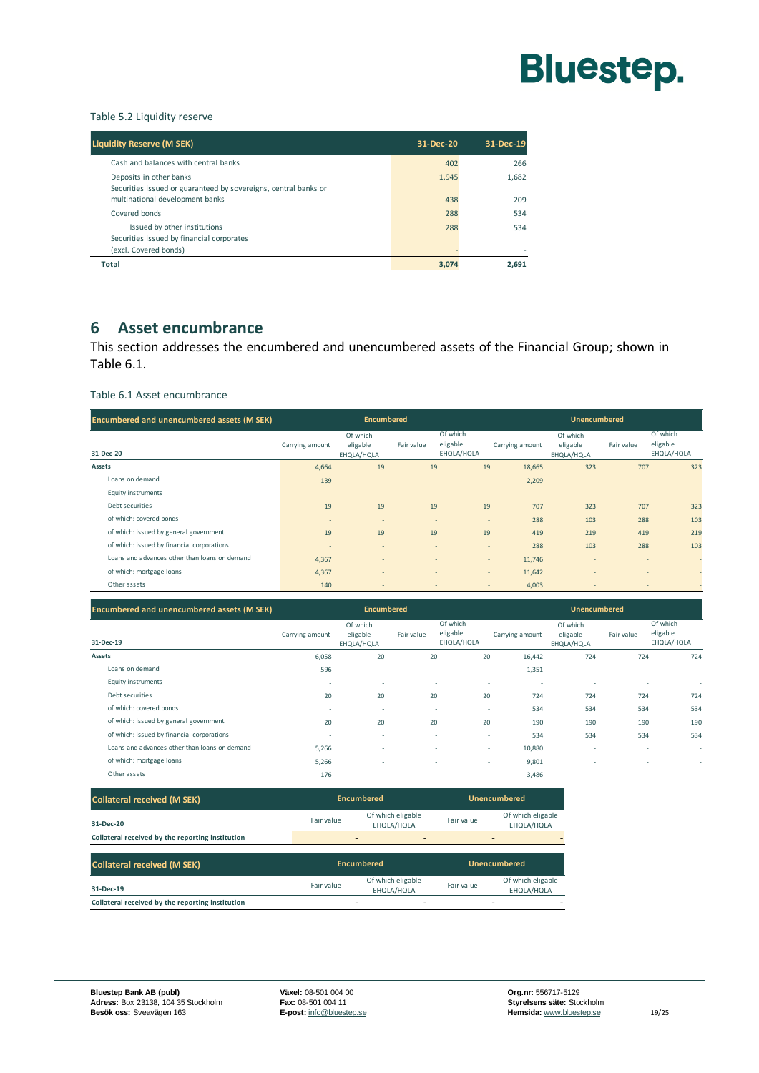

#### <span id="page-20-1"></span>Table 5.2 Liquidity reserve

| <b>Liquidity Reserve (M SEK)</b>                                                                   | 31-Dec-20 | 31-Dec-19 |
|----------------------------------------------------------------------------------------------------|-----------|-----------|
| Cash and balances with central banks                                                               | 402       | 266       |
| Deposits in other banks<br>Securities issued or guaranteed by sovereigns, central banks or         | 1.945     | 1.682     |
| multinational development banks                                                                    | 438       | 209       |
| Covered bonds                                                                                      | 288       | 534       |
| Issued by other institutions<br>Securities issued by financial corporates<br>(excl. Covered bonds) | 288       | 534       |
| <b>Total</b>                                                                                       | 3,074     | 2,691     |

#### <span id="page-20-0"></span>**6 Asset encumbrance**

This section addresses the encumbered and unencumbered assets of the Financial Group; shown in [Table 6.1.](#page-20-2)

#### <span id="page-20-2"></span>Table 6.1 Asset encumbrance

| <b>Encumbered and unencumbered assets (M SEK)</b> | <b>Encumbered</b> |                                    |                          | <b>Unencumbered</b>                |                                            |                                    |                |                                    |
|---------------------------------------------------|-------------------|------------------------------------|--------------------------|------------------------------------|--------------------------------------------|------------------------------------|----------------|------------------------------------|
| 31-Dec-20                                         | Carrying amount   | Of which<br>eligable<br>EHQLA/HQLA | Fair value               | Of which<br>eligable<br>EHQLA/HQLA | Carrying amount                            | Of which<br>eligable<br>EHQLA/HQLA | Fair value     | Of which<br>eligable<br>EHQLA/HQLA |
| Assets                                            | 4,664             | 19                                 | 19                       |                                    | 19<br>18,665                               | 323                                | 707            | 323                                |
| Loans on demand                                   | 139               | $\overline{a}$                     | $\overline{a}$           |                                    | 2,209<br>$\overline{\phantom{a}}$          | ٠                                  | $\overline{a}$ | $\overline{\phantom{a}}$           |
| <b>Equity instruments</b>                         | $\overline{a}$    | $\overline{a}$                     | $\overline{a}$           |                                    | $\overline{\phantom{a}}$<br>$\overline{a}$ | ٠                                  | $\overline{a}$ | $\sim$                             |
| Debt securities                                   | 19                | 19                                 | 19                       |                                    | 19<br>707                                  | 323                                | 707            | 323                                |
| of which: covered bonds                           | $\overline{a}$    | $\overline{a}$                     | $\overline{a}$           |                                    | 288<br>$\overline{a}$                      | 103                                | 288            | 103                                |
| of which: issued by general government            | 19                | 19                                 | 19                       |                                    | 19<br>419                                  | 219                                | 419            | 219                                |
| of which: issued by financial corporations        | ٠                 | $\overline{a}$                     | $\overline{a}$           |                                    | 288<br>$\overline{a}$                      | 103                                | 288            | 103                                |
| Loans and advances other than loans on demand     | 4,367             | $\overline{a}$                     | $\overline{a}$           |                                    | 11,746<br>$\overline{\phantom{a}}$         | ٠                                  | $\overline{a}$ | $\overline{\phantom{a}}$           |
| of which: mortgage loans                          | 4,367             | $\overline{a}$                     | $\overline{\phantom{a}}$ |                                    | 11,642<br>$\sim$                           | ۰                                  | $\overline{a}$ | $\overline{\phantom{a}}$           |
| Other assets                                      | 140               | $\overline{a}$                     | $\qquad \qquad$          |                                    | 4,003<br>$\sim$                            | $\overline{\phantom{a}}$           | $\,$           | $\sim$                             |

| <b>Encumbered and unencumbered assets (M SEK)</b> | <b>Encumbered</b>        |                                    |            |                                    | <b>Unencumbered</b>                |                                    |            |                                    |
|---------------------------------------------------|--------------------------|------------------------------------|------------|------------------------------------|------------------------------------|------------------------------------|------------|------------------------------------|
| 31-Dec-19                                         | Carrying amount          | Of which<br>eligable<br>EHQLA/HQLA | Fair value | Of which<br>eligable<br>EHQLA/HQLA | Carrying amount                    | Of which<br>eligable<br>EHQLA/HQLA | Fair value | Of which<br>eligable<br>EHQLA/HQLA |
| <b>Assets</b>                                     | 6,058                    | 20                                 | 20         |                                    | 20<br>16,442                       | 724                                | 724        | 724                                |
| Loans on demand                                   | 596                      | $\overline{\phantom{a}}$           |            | ٠                                  | 1,351<br>$\sim$                    | ٠                                  | ٠          | ٠                                  |
| <b>Equity instruments</b>                         | $\overline{\phantom{a}}$ | $\overline{\phantom{a}}$           |            | $\overline{\phantom{a}}$           | $\sim$<br>$\sim$                   | ٠                                  | ٠          | $\sim$                             |
| Debt securities                                   | 20                       | 20                                 | 20         |                                    | 20<br>724                          | 724                                | 724        | 724                                |
| of which: covered bonds                           |                          | $\overline{\phantom{a}}$           |            | $\overline{\phantom{a}}$           | 534<br>$\sim$                      | 534                                | 534        | 534                                |
| of which: issued by general government            | 20                       | 20                                 | 20         |                                    | 20<br>190                          | 190                                | 190        | 190                                |
| of which: issued by financial corporations        | $\overline{\phantom{a}}$ | $\sim$                             |            | $\overline{\phantom{a}}$           | 534<br>$\sim$                      | 534                                | 534        | 534                                |
| Loans and advances other than loans on demand     | 5,266                    | $\overline{\phantom{a}}$           |            | $\overline{\phantom{a}}$           | 10,880<br>$\overline{\phantom{a}}$ | ٠                                  | ٠          | $\overline{\phantom{a}}$           |
| of which: mortgage loans                          | 5,266                    |                                    |            | $\sim$                             | 9,801<br>$\sim$                    | ٠                                  | ٠          |                                    |
| Other assets                                      | 176                      |                                    |            | ٠                                  | 3,486<br>$\,$                      |                                    | ٠          |                                    |

| <b>Collateral received (M SEK)</b>               | <b>Encumbered</b> |                                 |            | <b>Unencumbered</b>             |
|--------------------------------------------------|-------------------|---------------------------------|------------|---------------------------------|
| 31-Dec-20                                        | Fair value        | Of which eligable<br>EHOLA/HOLA | Fair value | Of which eligable<br>EHOLA/HOLA |
| Collateral received by the reporting institution |                   | $\overline{\phantom{a}}$<br>-   |            | -                               |

| <b>Collateral received (M SEK)</b>               | <b>Encumbered</b> |                                 |            | <b>Unencumbered</b>                                  |
|--------------------------------------------------|-------------------|---------------------------------|------------|------------------------------------------------------|
| 31-Dec-19                                        | Fair value        | Of which eligable<br>EHOLA/HOLA | Fair value | Of which eligable<br>EHQLA/HQLA                      |
| Collateral received by the reporting institution |                   | -<br>-                          |            | $\overline{\phantom{0}}$<br>$\overline{\phantom{0}}$ |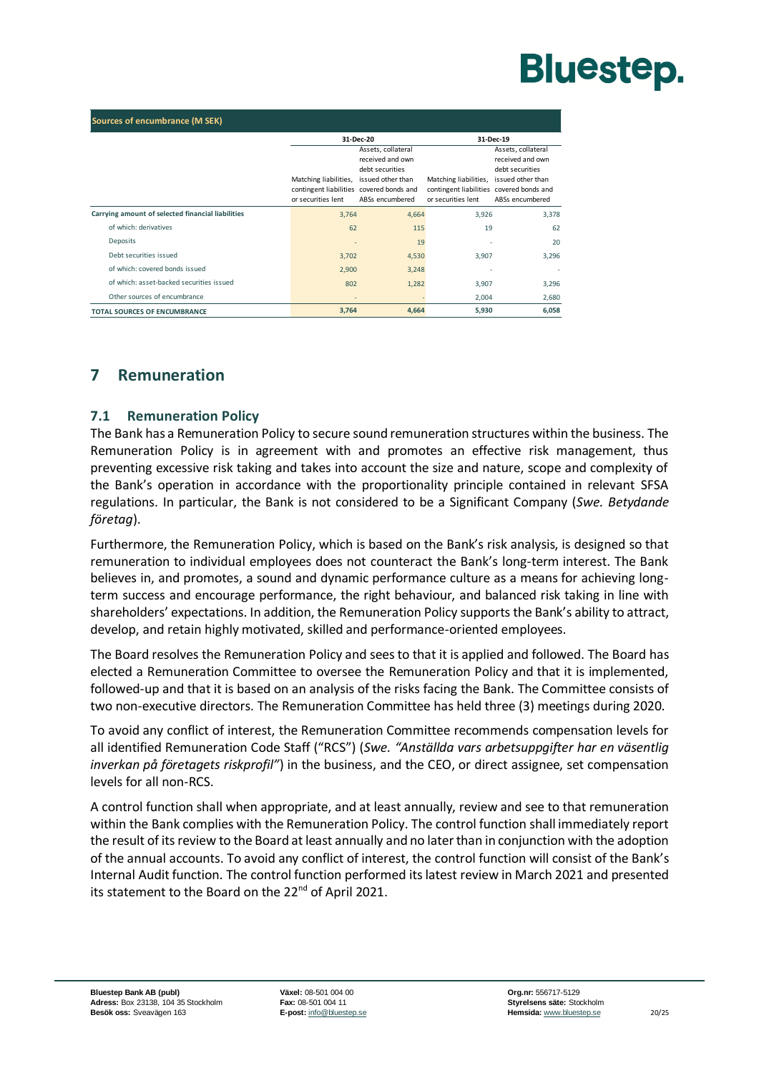| <b>Sources of encumbrance (M SEK)</b>             |                                                                                         |                                                                                                   |                                                                                                           |                                                                              |  |
|---------------------------------------------------|-----------------------------------------------------------------------------------------|---------------------------------------------------------------------------------------------------|-----------------------------------------------------------------------------------------------------------|------------------------------------------------------------------------------|--|
|                                                   |                                                                                         | 31-Dec-20                                                                                         |                                                                                                           | 31-Dec-19                                                                    |  |
|                                                   | Matching liabilities,<br>contingent liabilities covered bonds and<br>or securities lent | Assets, collateral<br>received and own<br>debt securities<br>issued other than<br>ABSs encumbered | Matching liabilities, issued other than<br>contingent liabilities covered bonds and<br>or securities lent | Assets, collateral<br>received and own<br>debt securities<br>ABSs encumbered |  |
| Carrying amount of selected financial liabilities | 3,764                                                                                   | 4,664                                                                                             | 3,926                                                                                                     | 3,378                                                                        |  |
| of which: derivatives                             | 62                                                                                      | 115                                                                                               | 19                                                                                                        | 62                                                                           |  |
| Deposits                                          |                                                                                         | 19                                                                                                |                                                                                                           | 20                                                                           |  |
| Debt securities issued                            | 3,702                                                                                   | 4,530                                                                                             | 3,907                                                                                                     | 3,296                                                                        |  |
| of which: covered bonds issued                    | 2,900                                                                                   | 3,248                                                                                             | $\overline{a}$                                                                                            | $\sim$                                                                       |  |
| of which: asset-backed securities issued          | 802                                                                                     | 1,282                                                                                             | 3,907                                                                                                     | 3,296                                                                        |  |
| Other sources of encumbrance                      | $\overline{a}$                                                                          |                                                                                                   | 2,004                                                                                                     | 2,680                                                                        |  |
| <b>TOTAL SOURCES OF ENCUMBRANCE</b>               | 3,764                                                                                   | 4,664                                                                                             | 5,930                                                                                                     | 6,058                                                                        |  |

#### <span id="page-21-1"></span><span id="page-21-0"></span>**7 Remuneration**

#### **7.1 Remuneration Policy**

The Bank has a Remuneration Policy to secure sound remuneration structures within the business. The Remuneration Policy is in agreement with and promotes an effective risk management, thus preventing excessive risk taking and takes into account the size and nature, scope and complexity of the Bank's operation in accordance with the proportionality principle contained in relevant SFSA regulations. In particular, the Bank is not considered to be a Significant Company (*Swe. Betydande företag*).

Furthermore, the Remuneration Policy, which is based on the Bank's risk analysis, is designed so that remuneration to individual employees does not counteract the Bank's long-term interest. The Bank believes in, and promotes, a sound and dynamic performance culture as a means for achieving longterm success and encourage performance, the right behaviour, and balanced risk taking in line with shareholders' expectations. In addition, the Remuneration Policy supports the Bank's ability to attract, develop, and retain highly motivated, skilled and performance-oriented employees.

The Board resolves the Remuneration Policy and sees to that it is applied and followed. The Board has elected a Remuneration Committee to oversee the Remuneration Policy and that it is implemented, followed-up and that it is based on an analysis of the risks facing the Bank. The Committee consists of two non-executive directors. The Remuneration Committee has held three (3) meetings during 2020.

To avoid any conflict of interest, the Remuneration Committee recommends compensation levels for all identified Remuneration Code Staff ("RCS") (*Swe. "Anställda vars arbetsuppgifter har en väsentlig inverkan på företagets riskprofil"*) in the business, and the CEO, or direct assignee, set compensation levels for all non-RCS.

A control function shall when appropriate, and at least annually, review and see to that remuneration within the Bank complies with the Remuneration Policy. The control function shall immediately report the result of its review to the Board at least annually and no later than in conjunction with the adoption of the annual accounts. To avoid any conflict of interest, the control function will consist of the Bank's Internal Audit function. The control function performed its latest review in March 2021 and presented its statement to the Board on the 22<sup>nd</sup> of April 2021.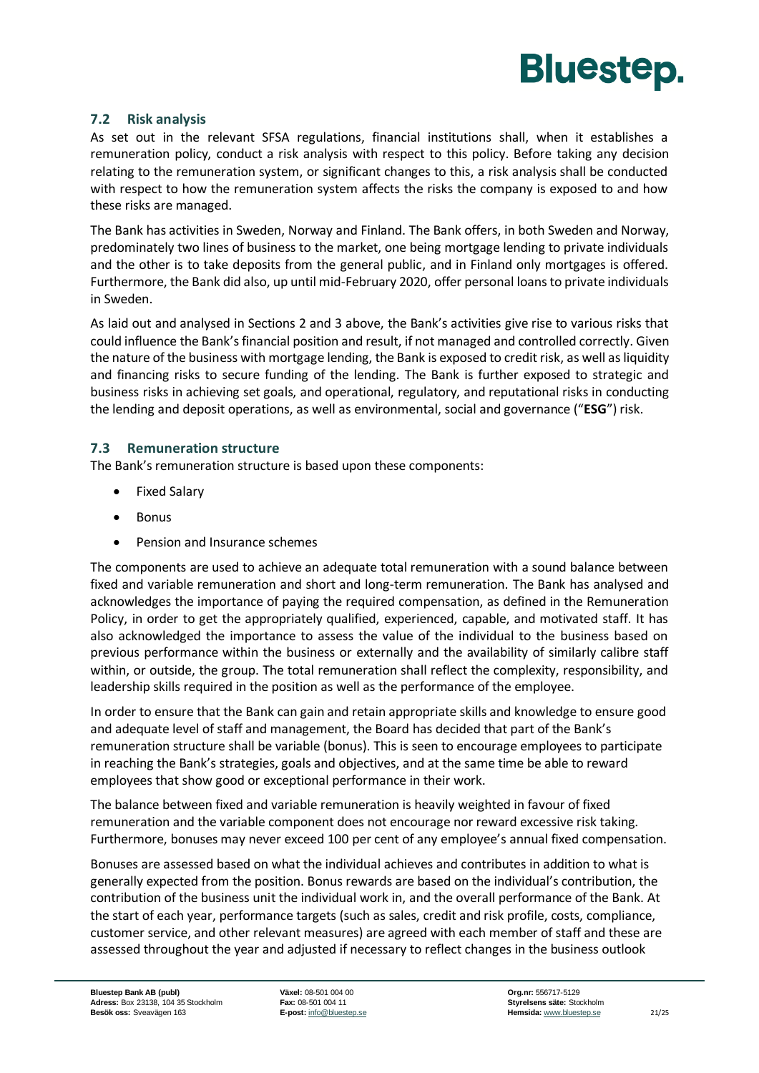

#### <span id="page-22-0"></span>**7.2 Risk analysis**

As set out in the relevant SFSA regulations, financial institutions shall, when it establishes a remuneration policy, conduct a risk analysis with respect to this policy. Before taking any decision relating to the remuneration system, or significant changes to this, a risk analysis shall be conducted with respect to how the remuneration system affects the risks the company is exposed to and how these risks are managed.

The Bank has activities in Sweden, Norway and Finland. The Bank offers, in both Sweden and Norway, predominately two lines of business to the market, one being mortgage lending to private individuals and the other is to take deposits from the general public, and in Finland only mortgages is offered. Furthermore, the Bank did also, up until mid-February 2020, offer personal loans to private individuals in Sweden.

As laid out and analysed in Sections 2 and 3 above, the Bank's activities give rise to various risks that could influence the Bank's financial position and result, if not managed and controlled correctly. Given the nature of the business with mortgage lending, the Bank is exposed to credit risk, as well as liquidity and financing risks to secure funding of the lending. The Bank is further exposed to strategic and business risks in achieving set goals, and operational, regulatory, and reputational risks in conducting the lending and deposit operations, as well as environmental, social and governance ("**ESG**") risk.

#### <span id="page-22-1"></span>**7.3 Remuneration structure**

The Bank's remuneration structure is based upon these components:

- Fixed Salary
- Bonus
- Pension and Insurance schemes

The components are used to achieve an adequate total remuneration with a sound balance between fixed and variable remuneration and short and long-term remuneration. The Bank has analysed and acknowledges the importance of paying the required compensation, as defined in the Remuneration Policy, in order to get the appropriately qualified, experienced, capable, and motivated staff. It has also acknowledged the importance to assess the value of the individual to the business based on previous performance within the business or externally and the availability of similarly calibre staff within, or outside, the group. The total remuneration shall reflect the complexity, responsibility, and leadership skills required in the position as well as the performance of the employee.

In order to ensure that the Bank can gain and retain appropriate skills and knowledge to ensure good and adequate level of staff and management, the Board has decided that part of the Bank's remuneration structure shall be variable (bonus). This is seen to encourage employees to participate in reaching the Bank's strategies, goals and objectives, and at the same time be able to reward employees that show good or exceptional performance in their work.

The balance between fixed and variable remuneration is heavily weighted in favour of fixed remuneration and the variable component does not encourage nor reward excessive risk taking. Furthermore, bonuses may never exceed 100 per cent of any employee's annual fixed compensation.

Bonuses are assessed based on what the individual achieves and contributes in addition to what is generally expected from the position. Bonus rewards are based on the individual's contribution, the contribution of the business unit the individual work in, and the overall performance of the Bank. At the start of each year, performance targets (such as sales, credit and risk profile, costs, compliance, customer service, and other relevant measures) are agreed with each member of staff and these are assessed throughout the year and adjusted if necessary to reflect changes in the business outlook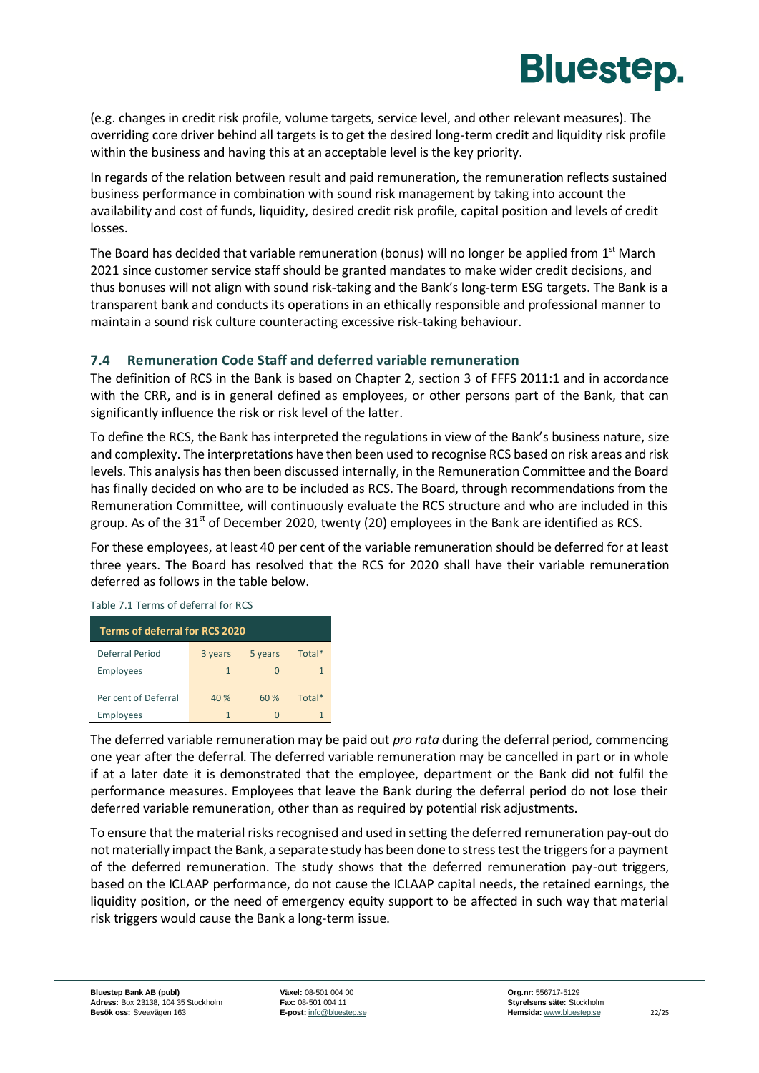

(e.g. changes in credit risk profile, volume targets, service level, and other relevant measures). The overriding core driver behind all targets is to get the desired long-term credit and liquidity risk profile within the business and having this at an acceptable level is the key priority.

In regards of the relation between result and paid remuneration, the remuneration reflects sustained business performance in combination with sound risk management by taking into account the availability and cost of funds, liquidity, desired credit risk profile, capital position and levels of credit losses.

The Board has decided that variable remuneration (bonus) will no longer be applied from  $1^{\text{st}}$  March 2021 since customer service staff should be granted mandates to make wider credit decisions, and thus bonuses will not align with sound risk-taking and the Bank's long-term ESG targets. The Bank is a transparent bank and conducts its operations in an ethically responsible and professional manner to maintain a sound risk culture counteracting excessive risk-taking behaviour.

#### <span id="page-23-0"></span>**7.4 Remuneration Code Staff and deferred variable remuneration**

The definition of RCS in the Bank is based on Chapter 2, section 3 of FFFS 2011:1 and in accordance with the CRR, and is in general defined as employees, or other persons part of the Bank, that can significantly influence the risk or risk level of the latter.

To define the RCS, the Bank has interpreted the regulations in view of the Bank's business nature, size and complexity. The interpretations have then been used to recognise RCS based on risk areas and risk levels. This analysis has then been discussed internally, in the Remuneration Committee and the Board has finally decided on who are to be included as RCS. The Board, through recommendations from the Remuneration Committee, will continuously evaluate the RCS structure and who are included in this group. As of the  $31<sup>st</sup>$  of December 2020, twenty (20) employees in the Bank are identified as RCS.

For these employees, at least 40 per cent of the variable remuneration should be deferred for at least three years. The Board has resolved that the RCS for 2020 shall have their variable remuneration deferred as follows in the table below.

Table 7.1 Terms of deferral for RCS

| Terms of deferral for RCS 2020 |              |         |        |
|--------------------------------|--------------|---------|--------|
| Deferral Period                | 3 years      | 5 years | Total* |
| Employees                      | $\mathbf{1}$ |         |        |
| Per cent of Deferral           | 40 %         | 60%     | Total* |
| Employees                      | $\mathbf{1}$ |         |        |

The deferred variable remuneration may be paid out *pro rata* during the deferral period, commencing one year after the deferral. The deferred variable remuneration may be cancelled in part or in whole if at a later date it is demonstrated that the employee, department or the Bank did not fulfil the performance measures. Employees that leave the Bank during the deferral period do not lose their deferred variable remuneration, other than as required by potential risk adjustments.

To ensure that the material risks recognised and used in setting the deferred remuneration pay-out do not materially impact the Bank, a separate study has been done to stress test the triggers for a payment of the deferred remuneration. The study shows that the deferred remuneration pay-out triggers, based on the ICLAAP performance, do not cause the ICLAAP capital needs, the retained earnings, the liquidity position, or the need of emergency equity support to be affected in such way that material risk triggers would cause the Bank a long-term issue.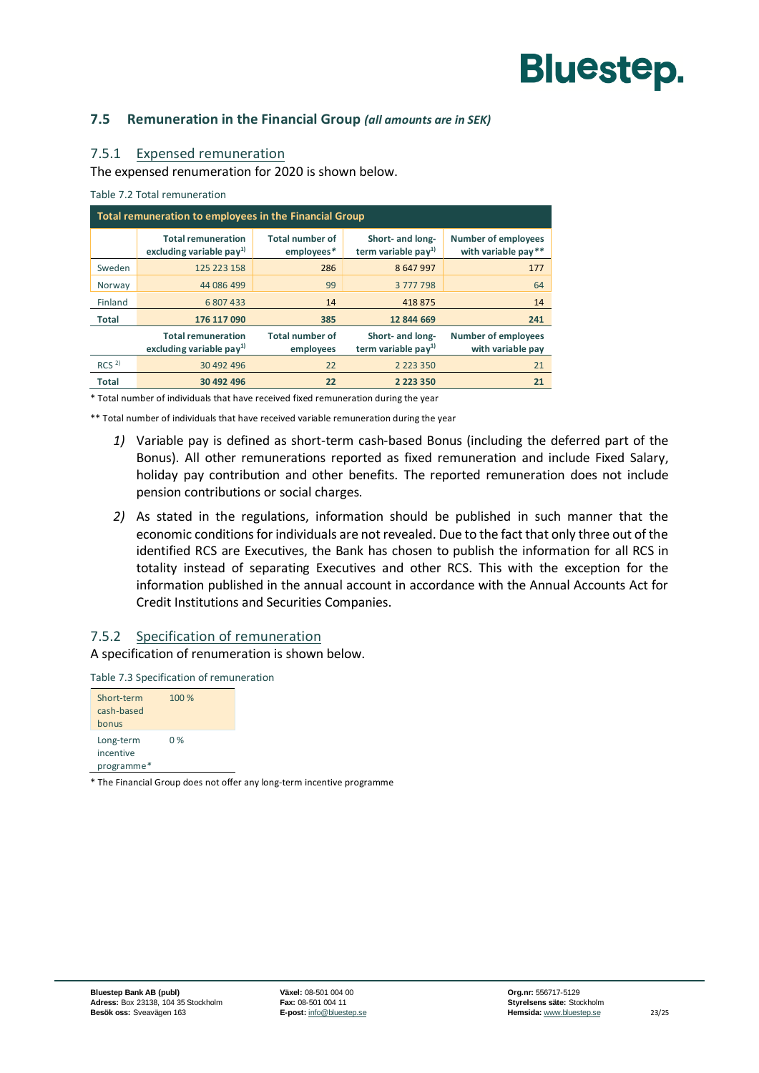#### <span id="page-24-0"></span>**7.5 Remuneration in the Financial Group** *(all amounts are in SEK)*

#### 7.5.1 Expensed remuneration

The expensed renumeration for 2020 is shown below.

Table 7.2 Total remuneration

| Total remuneration to employees in the Financial Group |                                                        |                                      |                                                     |                                                   |  |  |
|--------------------------------------------------------|--------------------------------------------------------|--------------------------------------|-----------------------------------------------------|---------------------------------------------------|--|--|
|                                                        | <b>Total remuneration</b><br>excluding variable $pay1$ | <b>Total number of</b><br>employees* | Short- and long-<br>term variable pay <sup>1)</sup> | <b>Number of employees</b><br>with variable pay** |  |  |
| Sweden                                                 | 125 223 158                                            | 286                                  | 8647997                                             | 177                                               |  |  |
| Norway                                                 | 44 086 499                                             | 99                                   | 3777798                                             | 64                                                |  |  |
| Finland                                                | 6807433                                                | 14                                   | 418875                                              | 14                                                |  |  |
| Total                                                  | 176 117 090                                            | 385                                  | 12 844 669                                          | 241                                               |  |  |
|                                                        | <b>Total remuneration</b><br>excluding variable $pay1$ | <b>Total number of</b><br>employees  | Short- and long-<br>term variable pay <sup>1)</sup> | <b>Number of employees</b><br>with variable pay   |  |  |
| RCS <sup>2</sup>                                       | 30 492 496                                             | 22                                   | 2 2 2 3 3 5 0                                       | 21                                                |  |  |
| <b>Total</b>                                           | 30 492 496                                             | 22                                   | 2 2 2 3 3 5 0                                       | 21                                                |  |  |

\* Total number of individuals that have received fixed remuneration during the year

\*\* Total number of individuals that have received variable remuneration during the year

- *1)* Variable pay is defined as short-term cash-based Bonus (including the deferred part of the Bonus). All other remunerations reported as fixed remuneration and include Fixed Salary, holiday pay contribution and other benefits. The reported remuneration does not include pension contributions or social charges.
- *2)* As stated in the regulations, information should be published in such manner that the economic conditions for individuals are not revealed. Due to the fact that only three out of the identified RCS are Executives, the Bank has chosen to publish the information for all RCS in totality instead of separating Executives and other RCS. This with the exception for the information published in the annual account in accordance with the Annual Accounts Act for Credit Institutions and Securities Companies.

#### 7.5.2 Specification of remuneration

A specification of renumeration is shown below.

Table 7.3 Specification of remuneration



\* The Financial Group does not offer any long-term incentive programme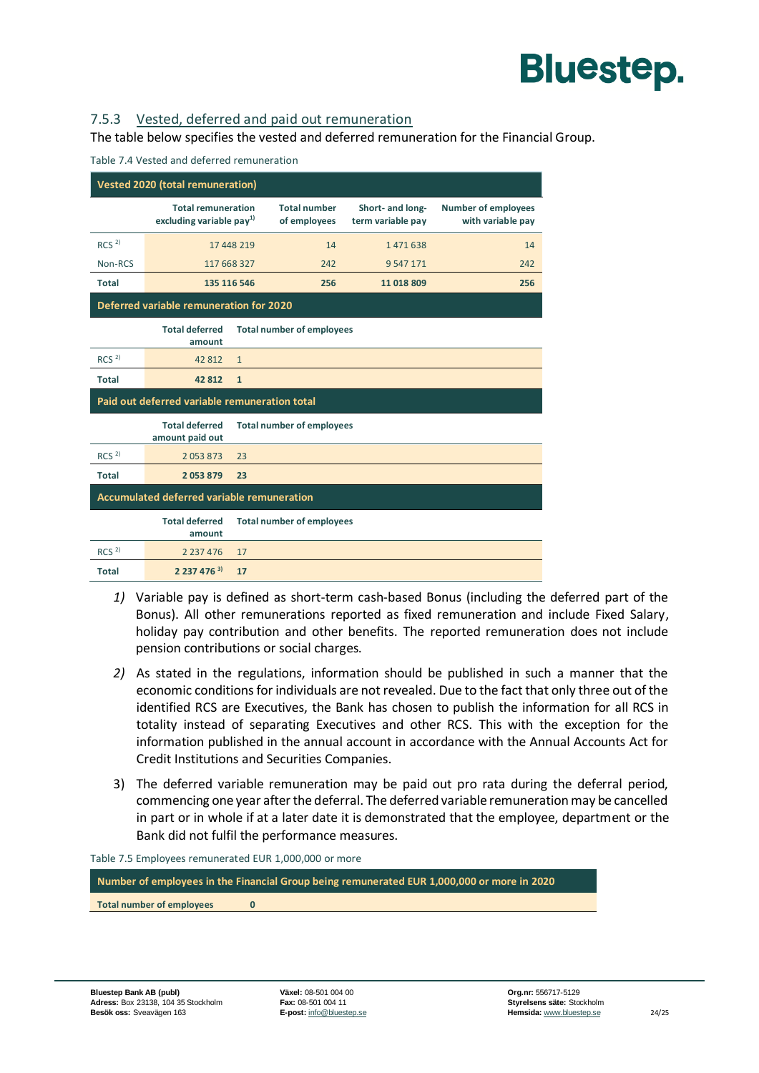

#### 7.5.3 Vested, deferred and paid out remuneration

The table below specifies the vested and deferred remuneration for the Financial Group.

| <b>Vested 2020 (total remuneration)</b> |                                                        |                                  |                                     |                                       |                                                 |  |
|-----------------------------------------|--------------------------------------------------------|----------------------------------|-------------------------------------|---------------------------------------|-------------------------------------------------|--|
|                                         | <b>Total remuneration</b><br>excluding variable $pay1$ |                                  | <b>Total number</b><br>of employees | Short- and long-<br>term variable pay | <b>Number of employees</b><br>with variable pay |  |
| RCS <sup>2</sup>                        |                                                        | 17 448 219                       | 14                                  | 1471638                               | 14                                              |  |
| Non-RCS                                 | 117 668 327                                            |                                  | 242                                 | 9 5 4 7 1 7 1                         | 242                                             |  |
| Total                                   | 135 116 546                                            |                                  | 256                                 | 11 018 809                            | 256                                             |  |
|                                         | Deferred variable remuneration for 2020                |                                  |                                     |                                       |                                                 |  |
|                                         | <b>Total deferred</b><br>amount                        |                                  | <b>Total number of employees</b>    |                                       |                                                 |  |
| RCS <sup>2</sup>                        | 42812                                                  | $\mathbf{1}$                     |                                     |                                       |                                                 |  |
| <b>Total</b>                            | 42 812                                                 | $\mathbf{1}$                     |                                     |                                       |                                                 |  |
|                                         | Paid out deferred variable remuneration total          |                                  |                                     |                                       |                                                 |  |
|                                         | <b>Total deferred</b><br>amount paid out               | <b>Total number of employees</b> |                                     |                                       |                                                 |  |
| RCS <sup>2</sup>                        | 2053873                                                | 23                               |                                     |                                       |                                                 |  |
| <b>Total</b>                            | 2053879                                                | 23                               |                                     |                                       |                                                 |  |
|                                         | <b>Accumulated deferred variable remuneration</b>      |                                  |                                     |                                       |                                                 |  |
|                                         | <b>Total deferred</b><br>amount                        | <b>Total number of employees</b> |                                     |                                       |                                                 |  |
| RCS <sup>2</sup>                        | 2 2 3 7 4 7 6                                          | 17                               |                                     |                                       |                                                 |  |
| <b>Total</b>                            | $2237476^{3}$<br>17                                    |                                  |                                     |                                       |                                                 |  |

Table 7.4 Vested and deferred remuneration

- *1)* Variable pay is defined as short-term cash-based Bonus (including the deferred part of the Bonus). All other remunerations reported as fixed remuneration and include Fixed Salary, holiday pay contribution and other benefits. The reported remuneration does not include pension contributions or social charges.
- *2)* As stated in the regulations, information should be published in such a manner that the economic conditions for individuals are not revealed. Due to the fact that only three out of the identified RCS are Executives, the Bank has chosen to publish the information for all RCS in totality instead of separating Executives and other RCS. This with the exception for the information published in the annual account in accordance with the Annual Accounts Act for Credit Institutions and Securities Companies.
- 3) The deferred variable remuneration may be paid out pro rata during the deferral period, commencing one year after the deferral. The deferred variable remuneration may be cancelled in part or in whole if at a later date it is demonstrated that the employee, department or the Bank did not fulfil the performance measures.

Table 7.5 Employees remunerated EUR 1,000,000 or more

**Number of employees in the Financial Group being remunerated EUR 1,000,000 or more in 2020**

**Total number of employees 0**